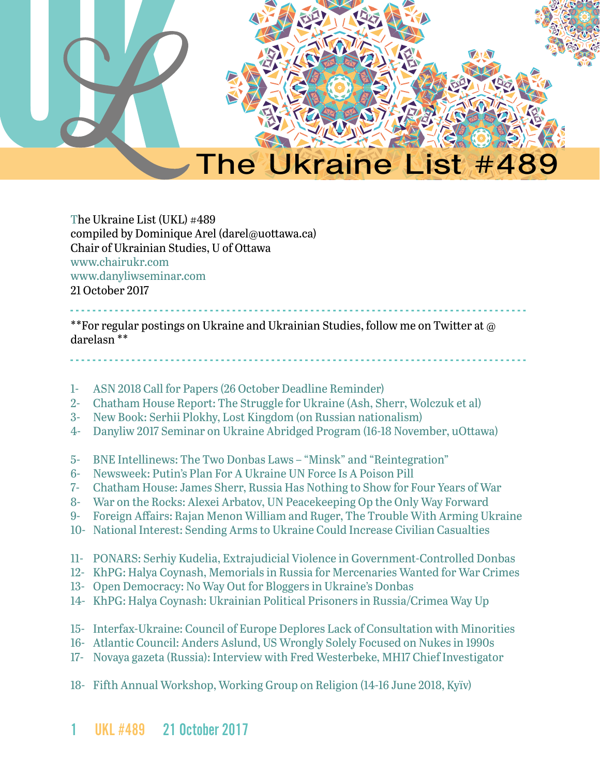

The Ukraine List (UKL) #489 compiled by Dominique Arel (darel@uottawa.ca) Chair of Ukrainian Studies, U of Ottawa [www.chairukr.com](http://www.chairukr.com) [www.danyliwseminar.com](http://www.danyliwseminar.com) 21 October 2017

<span id="page-0-0"></span>- - - - - - - - - - - - - - - - - - - - - - - - - - - - - - - - - - - - - - - - - - - - - - - - - - - - - - - - - - - - - - - - - - - - - - - - - - - - - - - - - - \*\*For regular postings on Ukraine and Ukrainian Studies, follow me on Twitter at @ darelasn \*\*

- - - - - - - - - - - - - - - - - - - - - - - - - - - - - - - - - - - - - - - - - - - - - - - - - - - - - - - - - - - - - - - - - - - - - - - - - - - - - - - - - -

- 1- [ASN 2018 Call for Papers \(26 October Deadline Reminder\)](#page-1-0)
- 2- [Chatham House Report: The Struggle for Ukraine \(Ash, Sherr, Wolczuk et al\)](#page-2-0)
- 3- [New Book: Serhii Plokhy, Lost Kingdom \(on Russian nationalism\)](#page-3-0)
- 4- [Danyliw 2017 Seminar on Ukraine Abridged Program \(16-18 November, uOttawa\)](#page-3-1)
- 5- [BNE Intellinews: The Two Donbas Laws "Minsk" and "Reintegration"](#page-7-0)
- 6- Newsweek: Putin's Plan For A Ukraine UN Force Is A Poison Pill
- 7- [Chatham House: James Sherr, Russia Has Nothing to Show for Four Years of War](#page-11-0)
- 8- [War on the Rocks: Alexei Arbatov, UN Peacekeeping Op the Only Way Forward](#page-13-0)
- 9- [Foreign Affairs: Rajan Menon William and Ruger, The Trouble With Arming Ukraine](#page-17-0)
- 10- [National Interest: Sending Arms to Ukraine Could Increase Civilian Casualties](#page-21-0)
- 11- [PONARS: Serhiy Kudelia, Extrajudicial Violence in Government-Controlled Donbas](#page-24-0)
- 12- [KhPG: Halya Coynash, Memorials in Russia for Mercenaries Wanted for War Crimes](#page-29-0)
- 13- Open Democracy: No Way Out for Bloggers in Ukraine's Donbas
- 14- [KhPG: Halya Coynash: Ukrainian Political Prisoners in Russia/Crimea Way Up](#page-34-0)
- 15- Interfax-Ukraine: Council of Europe Deplores Lack of Consultation with Minorities
- 16- Atlantic Council: Anders Aslund, US Wrongly Solely Focused on Nukes in 1990s
- 17- Novaya gazeta (Russia): Interview with Fred Westerbeke, MH17 Chief Investigator
- 18- [Fifth Annual Workshop, Working Group on Religion \(14-16 June 2018, Kyïv\)](#page-48-0)
- 1 UKL #489 21 October 2017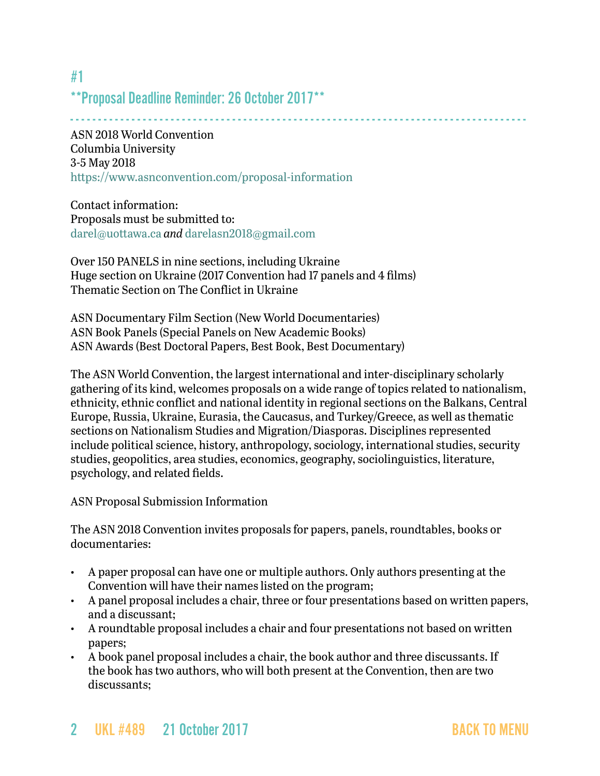\*\*Proposal Deadline Reminder: 26 October 2017\*\*

- - - - - - - - - - - - - - - - - - - - - - - - - - - - - - - - - - - - - - - - - - - - - - - - - - - - - - - - - - - - - - - - - - - - - - - - - - - - - - - - - - ASN 2018 World Convention Columbia University 3-5 May 2018 <https://www.asnconvention.com/proposal-information>

Contact information: Proposals must be submitted to: [darel@uottawa.ca](mailto:darel@uottawa.ca) *and* [darelasn2018@gmail.com](file:///CHAIRE%20UKR/UKL/darelasn2018@gmail.com)

Over 150 PANELS in nine sections, including Ukraine Huge section on Ukraine (2017 Convention had 17 panels and 4 films) Thematic Section on The Conflict in Ukraine

ASN Documentary Film Section (New World Documentaries) ASN Book Panels (Special Panels on New Academic Books) ASN Awards (Best Doctoral Papers, Best Book, Best Documentary)

The ASN World Convention, the largest international and inter-disciplinary scholarly gathering of its kind, welcomes proposals on a wide range of topics related to nationalism, ethnicity, ethnic conflict and national identity in regional sections on the Balkans, Central Europe, Russia, Ukraine, Eurasia, the Caucasus, and Turkey/Greece, as well as thematic sections on Nationalism Studies and Migration/Diasporas. Disciplines represented include political science, history, anthropology, sociology, international studies, security studies, geopolitics, area studies, economics, geography, sociolinguistics, literature, psychology, and related fields.

ASN Proposal Submission Information

The ASN 2018 Convention invites proposals for papers, panels, roundtables, books or documentaries:

- A paper proposal can have one or multiple authors. Only authors presenting at the Convention will have their names listed on the program;
- A panel proposal includes a chair, three or four presentations based on written papers, and a discussant;
- A roundtable proposal includes a chair and four presentations not based on written papers;
- A book panel proposal includes a chair, the book author and three discussants. If the book has two authors, who will both present at the Convention, then are two discussants;

<span id="page-1-0"></span>#1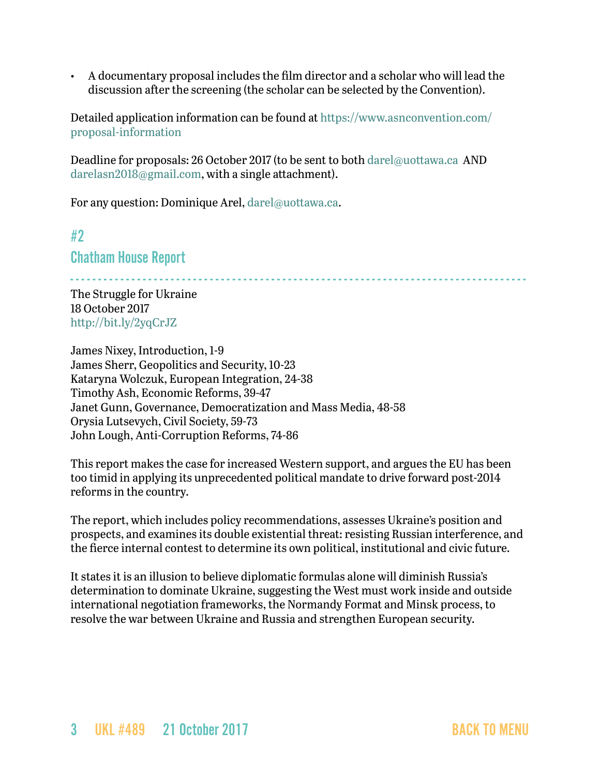• A documentary proposal includes the film director and a scholar who will lead the discussion after the screening (the scholar can be selected by the Convention).

Detailed application information can be found at [https://www.asnconvention.com/](https://www.asnconvention.com/proposal-information) [proposal-information](https://www.asnconvention.com/proposal-information)

Deadline for proposals: 26 October 2017 (to be sent to both [darel@uottawa.ca](mailto:darel@uottawa.ca) AND [darelasn2018@gmail.com](mailto:darelasn2018@gmail.com), with a single attachment).

For any question: Dominique Arel, [darel@uottawa.ca](mailto:darel@uottawa.ca).

<span id="page-2-0"></span>#2

Chatham House Report

- - - - - - - - - - - - - - - - - - - - - - - - - - - - - - - - - - - - - - - - - - - - - - - - - - - - - - - - - - - - - - - - - - - - - - - - - - - - - - - - - -

The Struggle for Ukraine 18 October 2017 <http://bit.ly/2yqCrJZ>

James Nixey, Introduction, 1-9 James Sherr, Geopolitics and Security, 10-23 Kataryna Wolczuk, European Integration, 24-38 Timothy Ash, Economic Reforms, 39-47 Janet Gunn, Governance, Democratization and Mass Media, 48-58 Orysia Lutsevych, Civil Society, 59-73 John Lough, Anti-Corruption Reforms, 74-86

This report makes the case for increased Western support, and argues the EU has been too timid in applying its unprecedented political mandate to drive forward post-2014 reforms in the country.

The report, which includes policy recommendations, assesses Ukraine's position and prospects, and examines its double existential threat: resisting Russian interference, and the fierce internal contest to determine its own political, institutional and civic future.

It states it is an illusion to believe diplomatic formulas alone will diminish Russia's determination to dominate Ukraine, suggesting the West must work inside and outside international negotiation frameworks, the Normandy Format and Minsk process, to resolve the war between Ukraine and Russia and strengthen European security.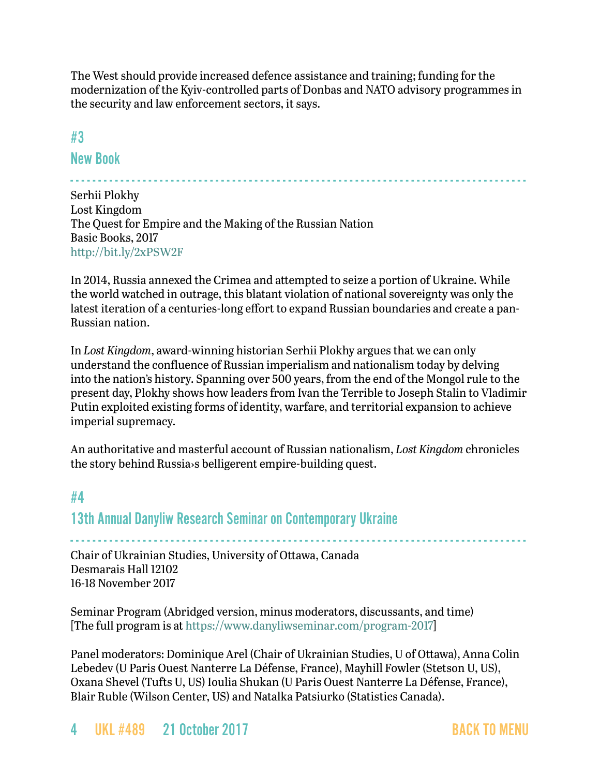The West should provide increased defence assistance and training; funding for the modernization of the Kyiv-controlled parts of Donbas and NATO advisory programmes in the security and law enforcement sectors, it says.

- - - - - - - - - - - - - - - - - - - - - - - - - - - - - - - - - - - - - - - - - - - - - - - - - - - - - - - - - - - - - - - - - - - - - - - - - - - - - - - - - -

<span id="page-3-0"></span>#3

New Book

Serhii Plokhy Lost Kingdom The Quest for Empire and the Making of the Russian Nation Basic Books, 2017 <http://bit.ly/2xPSW2F>

In 2014, Russia annexed the Crimea and attempted to seize a portion of Ukraine. While the world watched in outrage, this blatant violation of national sovereignty was only the latest iteration of a centuries-long effort to expand Russian boundaries and create a pan-Russian nation.

In *Lost Kingdom*, award-winning historian Serhii Plokhy argues that we can only understand the confluence of Russian imperialism and nationalism today by delving into the nation's history. Spanning over 500 years, from the end of the Mongol rule to the present day, Plokhy shows how leaders from Ivan the Terrible to Joseph Stalin to Vladimir Putin exploited existing forms of identity, warfare, and territorial expansion to achieve imperial supremacy.

An authoritative and masterful account of Russian nationalism, *Lost Kingdom* chronicles the story behind Russia›s belligerent empire-building quest.

# <span id="page-3-1"></span>#4 13th Annual Danyliw Research Seminar on Contemporary Ukraine

- - - - - - - - - - - - - - - - - - - - - - - - - - - - - - - - - - - - - - - - - - - - - - - - - - - - - - - - - - - - - - - - - - - - - - - - - - - - - - - - - - Chair of Ukrainian Studies, University of Ottawa, Canada Desmarais Hall 12102 16-18 November 2017

Seminar Program (Abridged version, minus moderators, discussants, and time) [The full program is at<https://www.danyliwseminar.com/program-2017>]

Panel moderators: Dominique Arel (Chair of Ukrainian Studies, U of Ottawa), Anna Colin Lebedev (U Paris Ouest Nanterre La Défense, France), Mayhill Fowler (Stetson U, US), Oxana Shevel (Tufts U, US) Ioulia Shukan (U Paris Ouest Nanterre La Défense, France), Blair Ruble (Wilson Center, US) and Natalka Patsiurko (Statistics Canada).

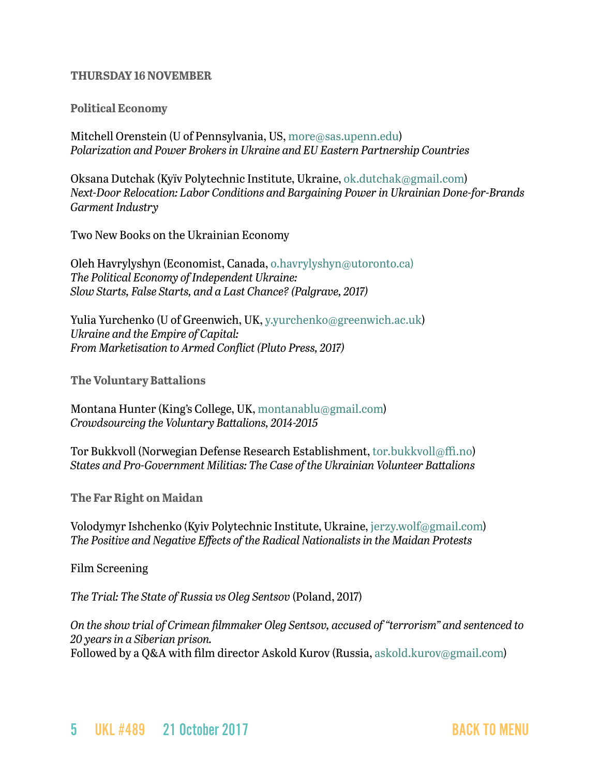#### **THURSDAY 16 NOVEMBER**

#### **Political Economy**

Mitchell Orenstein (U of Pennsylvania, US, [more@sas.upenn.edu](mailto:more@sas.upenn.edu)) *Polarization and Power Brokers in Ukraine and EU Eastern Partnership Countries*

Oksana Dutchak (Kyïv Polytechnic Institute, Ukraine, [ok.dutchak@gmail.com\)](mailto:ok.dutchak@gmail.com) *Next-Door Relocation: Labor Conditions and Bargaining Power in Ukrainian Done-for-Brands Garment Industry*

Two New Books on the Ukrainian Economy

Oleh Havrylyshyn (Economist, Canada, [o.havrylyshyn@utoronto.ca\)](mailto:o.havrylyshyn@utoronto.ca)) *The Political Economy of Independent Ukraine: Slow Starts, False Starts, and a Last Chance? (Palgrave, 2017)*

Yulia Yurchenko (U of Greenwich, UK, [y.yurchenko@greenwich.ac.uk](mailto:y.yurchenko@greenwich.ac.uk)) *Ukraine and the Empire of Capital: From Marketisation to Armed Conflict (Pluto Press, 2017)*

**The Voluntary Battalions**

Montana Hunter (King's College, UK, [montanablu@gmail.com](mailto:montanablu@gmail.com)) *Crowdsourcing the Voluntary Battalions, 2014-2015*

Tor Bukkvoll (Norwegian Defense Research Establishment, [tor.bukkvoll@ffi.no](mailto:tor.bukkvoll@ffi.no)) *States and Pro-Government Militias: The Case of the Ukrainian Volunteer Battalions*

**The Far Right on Maidan**

Volodymyr Ishchenko (Kyiv Polytechnic Institute, Ukraine, [jerzy.wolf@gmail.com\)](mailto:jerzy.wolf@gmail.com) *The Positive and Negative Effects of the Radical Nationalists in the Maidan Protests*

Film Screening

*The Trial: The State of Russia vs Oleg Sentsov* (Poland, 2017)

*On the show trial of Crimean filmmaker Oleg Sentsov, accused of "terrorism" and sentenced to 20 years in a Siberian prison.* Followed by a O&A with film director Askold Kurov (Russia, [askold.kurov@gmail.com\)](mailto:askold.kurov@gmail.com)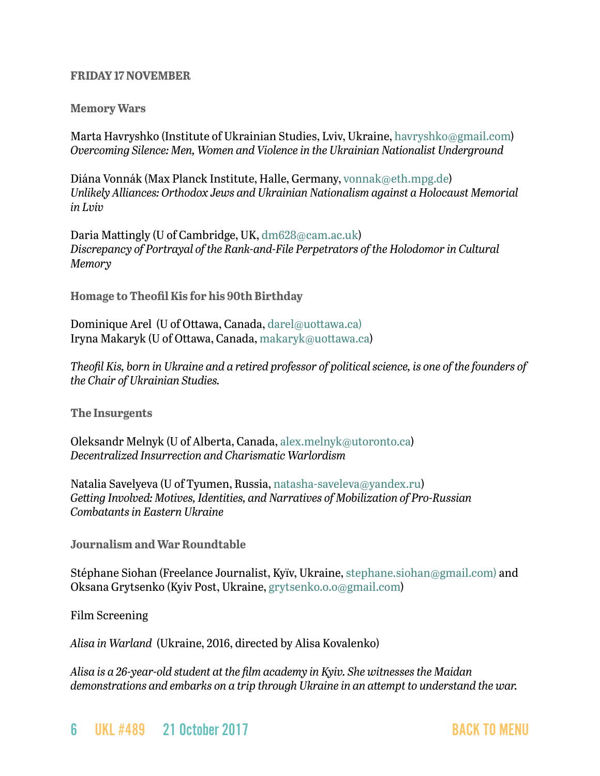#### **FRIDAY 17 NOVEMBER**

#### **Memory Wars**

Marta Havryshko (Institute of Ukrainian Studies, Lviv, Ukraine, [havryshko@gmail.com](mailto:havryshko@gmail.com)) *Overcoming Silence: Men, Women and Violence in the Ukrainian Nationalist Underground*

Diána Vonnák (Max Planck Institute, Halle, Germany, [vonnak@eth.mpg.de](mailto:vonnak@eth.mpg.de)) *Unlikely Alliances: Orthodox Jews and Ukrainian Nationalism against a Holocaust Memorial in Lviv*

Daria Mattingly (U of Cambridge, UK, [dm628@cam.ac.uk\)](mailto:dm628@cam.ac.uk) *Discrepancy of Portrayal of the Rank-and-File Perpetrators of the Holodomor in Cultural Memory*

**Homage to Theofil Kis for his 90th Birthday**

Dominique Arel (U of Ottawa, Canada, [darel@uottawa.ca\)](mailto:darel@uottawa.ca)) Iryna Makaryk (U of Ottawa, Canada, [makaryk@uottawa.ca](mailto:makaryk@uottawa.ca))

*Theofil Kis, born in Ukraine and a retired professor of political science, is one of the founders of the Chair of Ukrainian Studies.*

**The Insurgents**

Oleksandr Melnyk (U of Alberta, Canada, [alex.melnyk@utoronto.ca](mailto:alex.melnyk@utoronto.ca)) *Decentralized Insurrection and Charismatic Warlordism*

Natalia Savelyeva (U of Tyumen, Russia, [natasha-saveleva@yandex.ru\)](mailto:natasha-saveleva@yandex.ru) *Getting Involved: Motives, Identities, and Narratives of Mobilization of Pro-Russian Combatants in Eastern Ukraine*

**Journalism and War Roundtable**

Stéphane Siohan (Freelance Journalist, Kyïv, Ukraine, [stephane.siohan@gmail.com\)](mailto:stephane.siohan@gmail.com)) and Oksana Grytsenko (Kyiv Post, Ukraine, [grytsenko.o.o@gmail.com\)](mailto:grytsenko.o.o@gmail.com)

Film Screening

*Alisa in Warland* (Ukraine, 2016, directed by Alisa Kovalenko)

*Alisa is a 26-year-old student at the film academy in Kyiv. She witnesses the Maidan demonstrations and embarks on a trip through Ukraine in an attempt to understand the war.*

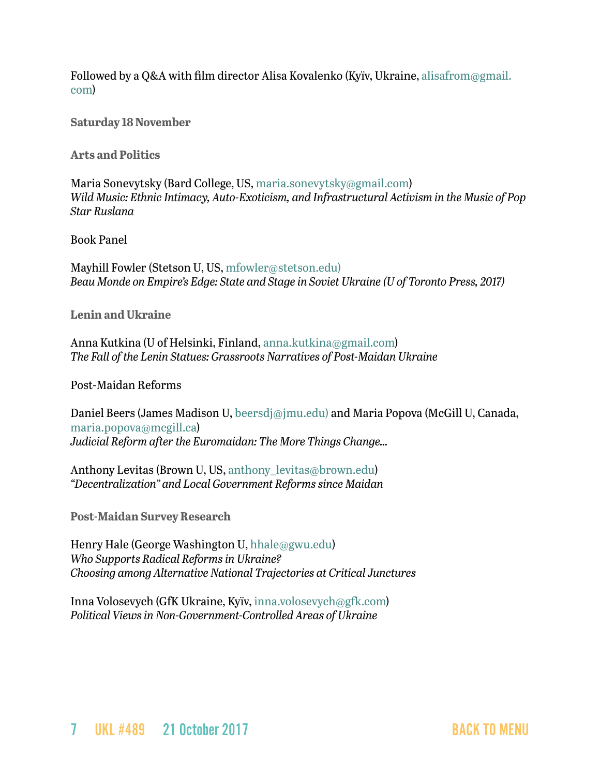Followed by a Q&A with film director Alisa Kovalenko (Kyïv, Ukraine, [alisafrom@gmail.](mailto:alisafrom@gmail.com) [com](mailto:alisafrom@gmail.com))

**Saturday 18 November**

**Arts and Politics**

Maria Sonevytsky (Bard College, US, [maria.sonevytsky@gmail.com](mailto:maria.sonevytsky@gmail.com)) *Wild Music: Ethnic Intimacy, Auto-Exoticism, and Infrastructural Activism in the Music of Pop Star Ruslana*

Book Panel

Mayhill Fowler (Stetson U, US, [mfowler@stetson.edu\)](mailto:mfowler@stetson.edu)) *Beau Monde on Empire's Edge: State and Stage in Soviet Ukraine (U of Toronto Press, 2017)*

**Lenin and Ukraine**

Anna Kutkina (U of Helsinki, Finland, [anna.kutkina@gmail.com\)](mailto:anna.kutkina@gmail.com) *The Fall of the Lenin Statues: Grassroots Narratives of Post-Maidan Ukraine*

Post-Maidan Reforms

Daniel Beers (James Madison U, [beersdj@jmu.edu\)](mailto:beersdj@jmu.edu)) and Maria Popova (McGill U, Canada, [maria.popova@mcgill.ca\)](mailto:maria.popova@mcgill.ca) *Judicial Reform after the Euromaidan: The More Things Change…*

Anthony Levitas (Brown U, US, anthony levitas@brown.edu) *"Decentralization" and Local Government Reforms since Maidan*

**Post-Maidan Survey Research**

Henry Hale (George Washington U, [hhale@gwu.edu\)](mailto:hhale@gwu.edu) *Who Supports Radical Reforms in Ukraine? Choosing among Alternative National Trajectories at Critical Junctures*

Inna Volosevych (GfK Ukraine, Kyïv, [inna.volosevych@gfk.com\)](mailto:inna.volosevych@gfk.com) *Political Views in Non-Government-Controlled Areas of Ukraine*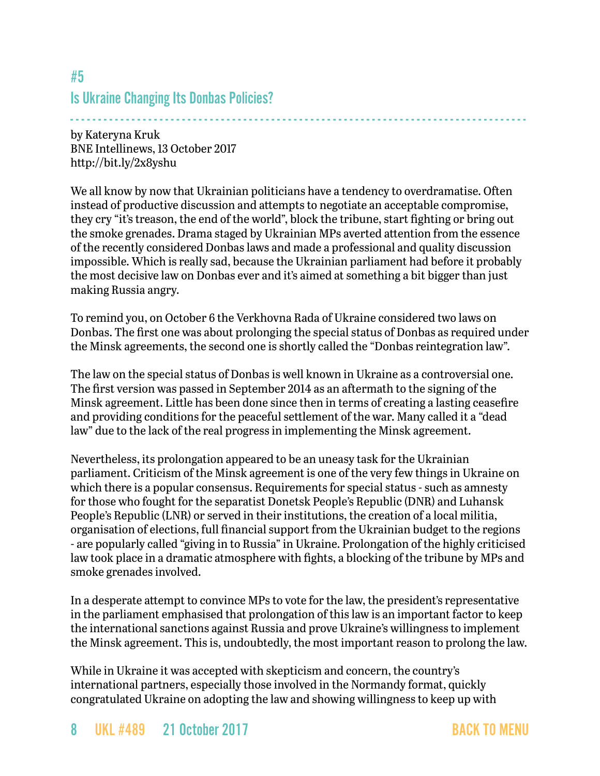# <span id="page-7-0"></span>#5 Is Ukraine Changing Its Donbas Policies?

- - - - - - - - - - - - - - - - - - - - - - - - - - - - - - - - - - - - - - - - - - - - - - - - - - - - - - - - - - - - - - - - - - - - - - - - - - - - - - - - - by Kateryna Kruk BNE Intellinews, 13 October 2017 <http://bit.ly/2x8yshu>

We all know by now that Ukrainian politicians have a tendency to overdramatise. Often instead of productive discussion and attempts to negotiate an acceptable compromise, they cry "it's treason, the end of the world", block the tribune, start fighting or bring out the smoke grenades. Drama staged by Ukrainian MPs averted attention from the essence of the recently considered Donbas laws and made a professional and quality discussion impossible. Which is really sad, because the Ukrainian parliament had before it probably the most decisive law on Donbas ever and it's aimed at something a bit bigger than just making Russia angry.

To remind you, on October 6 the Verkhovna Rada of Ukraine considered two laws on Donbas. The first one was about prolonging the special status of Donbas as required under the Minsk agreements, the second one is shortly called the "Donbas reintegration law".

The law on the special status of Donbas is well known in Ukraine as a controversial one. The first version was passed in September 2014 as an aftermath to the signing of the Minsk agreement. Little has been done since then in terms of creating a lasting ceasefire and providing conditions for the peaceful settlement of the war. Many called it a "dead law" due to the lack of the real progress in implementing the Minsk agreement.

Nevertheless, its prolongation appeared to be an uneasy task for the Ukrainian parliament. Criticism of the Minsk agreement is one of the very few things in Ukraine on which there is a popular consensus. Requirements for special status - such as amnesty for those who fought for the separatist Donetsk People's Republic (DNR) and Luhansk People's Republic (LNR) or served in their institutions, the creation of a local militia, organisation of elections, full financial support from the Ukrainian budget to the regions - are popularly called "giving in to Russia" in Ukraine. Prolongation of the highly criticised law took place in a dramatic atmosphere with fights, a blocking of the tribune by MPs and smoke grenades involved.

In a desperate attempt to convince MPs to vote for the law, the president's representative in the parliament emphasised that prolongation of this law is an important factor to keep the international sanctions against Russia and prove Ukraine's willingness to implement the Minsk agreement. This is, undoubtedly, the most important reason to prolong the law.

While in Ukraine it was accepted with skepticism and concern, the country's international partners, especially those involved in the Normandy format, quickly congratulated Ukraine on adopting the law and showing willingness to keep up with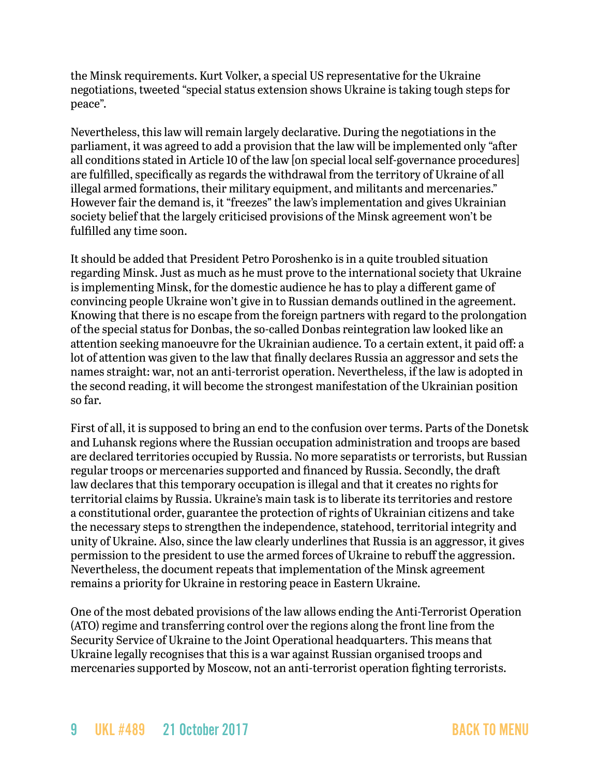the Minsk requirements. Kurt Volker, a special US representative for the Ukraine negotiations, tweeted "special status extension shows Ukraine is taking tough steps for peace".

Nevertheless, this law will remain largely declarative. During the negotiations in the parliament, it was agreed to add a provision that the law will be implemented only "after all conditions stated in Article 10 of the law [on special local self-governance procedures] are fulfilled, specifically as regards the withdrawal from the territory of Ukraine of all illegal armed formations, their military equipment, and militants and mercenaries." However fair the demand is, it "freezes" the law's implementation and gives Ukrainian society belief that the largely criticised provisions of the Minsk agreement won't be fulfilled any time soon.

It should be added that President Petro Poroshenko is in a quite troubled situation regarding Minsk. Just as much as he must prove to the international society that Ukraine is implementing Minsk, for the domestic audience he has to play a different game of convincing people Ukraine won't give in to Russian demands outlined in the agreement. Knowing that there is no escape from the foreign partners with regard to the prolongation of the special status for Donbas, the so-called Donbas reintegration law looked like an attention seeking manoeuvre for the Ukrainian audience. To a certain extent, it paid off: a lot of attention was given to the law that finally declares Russia an aggressor and sets the names straight: war, not an anti-terrorist operation. Nevertheless, if the law is adopted in the second reading, it will become the strongest manifestation of the Ukrainian position so far.

First of all, it is supposed to bring an end to the confusion over terms. Parts of the Donetsk and Luhansk regions where the Russian occupation administration and troops are based are declared territories occupied by Russia. No more separatists or terrorists, but Russian regular troops or mercenaries supported and financed by Russia. Secondly, the draft law declares that this temporary occupation is illegal and that it creates no rights for territorial claims by Russia. Ukraine's main task is to liberate its territories and restore a constitutional order, guarantee the protection of rights of Ukrainian citizens and take the necessary steps to strengthen the independence, statehood, territorial integrity and unity of Ukraine. Also, since the law clearly underlines that Russia is an aggressor, it gives permission to the president to use the armed forces of Ukraine to rebuff the aggression. Nevertheless, the document repeats that implementation of the Minsk agreement remains a priority for Ukraine in restoring peace in Eastern Ukraine.

One of the most debated provisions of the law allows ending the Anti-Terrorist Operation (ATO) regime and transferring control over the regions along the front line from the Security Service of Ukraine to the Joint Operational headquarters. This means that Ukraine legally recognises that this is a war against Russian organised troops and mercenaries supported by Moscow, not an anti-terrorist operation fighting terrorists.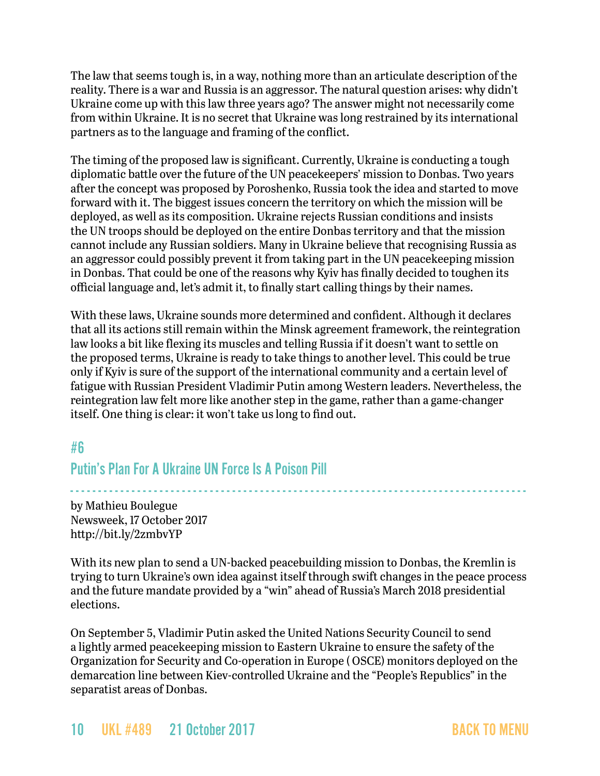The law that seems tough is, in a way, nothing more than an articulate description of the reality. There is a war and Russia is an aggressor. The natural question arises: why didn't Ukraine come up with this law three years ago? The answer might not necessarily come from within Ukraine. It is no secret that Ukraine was long restrained by its international partners as to the language and framing of the conflict.

The timing of the proposed law is significant. Currently, Ukraine is conducting a tough diplomatic battle over the future of the UN peacekeepers' mission to Donbas. Two years after the concept was proposed by Poroshenko, Russia took the idea and started to move forward with it. The biggest issues concern the territory on which the mission will be deployed, as well as its composition. Ukraine rejects Russian conditions and insists the UN troops should be deployed on the entire Donbas territory and that the mission cannot include any Russian soldiers. Many in Ukraine believe that recognising Russia as an aggressor could possibly prevent it from taking part in the UN peacekeeping mission in Donbas. That could be one of the reasons why Kyiv has finally decided to toughen its official language and, let's admit it, to finally start calling things by their names.

With these laws, Ukraine sounds more determined and confident. Although it declares that all its actions still remain within the Minsk agreement framework, the reintegration law looks a bit like flexing its muscles and telling Russia if it doesn't want to settle on the proposed terms, Ukraine is ready to take things to another level. This could be true only if Kyiv is sure of the support of the international community and a certain level of fatigue with Russian President Vladimir Putin among Western leaders. Nevertheless, the reintegration law felt more like another step in the game, rather than a game-changer itself. One thing is clear: it won't take us long to find out.

# #6

### Putin's Plan For A Ukraine UN Force Is A Poison Pill

- - - - - - - - - - - - - - - - - - - - - - - - - - - - - - - - - - - - - - - - - - - - - - - - - - - - - - - - - - - - - - - - - - - - - - - - - - - - - - - - - -

by Mathieu Boulegue Newsweek, 17 October 2017 <http://bit.ly/2zmbvYP>

With its new plan to send a UN-backed peacebuilding mission to Donbas, the Kremlin is trying to turn Ukraine's own idea against itself through swift changes in the peace process and the future mandate provided by a "win" ahead of Russia's March 2018 presidential elections.

On September 5, Vladimir Putin asked the United Nations Security Council to send a lightly armed peacekeeping mission to Eastern Ukraine to ensure the safety of the Organization for Security and Co-operation in Europe ( OSCE) monitors deployed on the demarcation line between Kiev-controlled Ukraine and the "People's Republics" in the separatist areas of Donbas.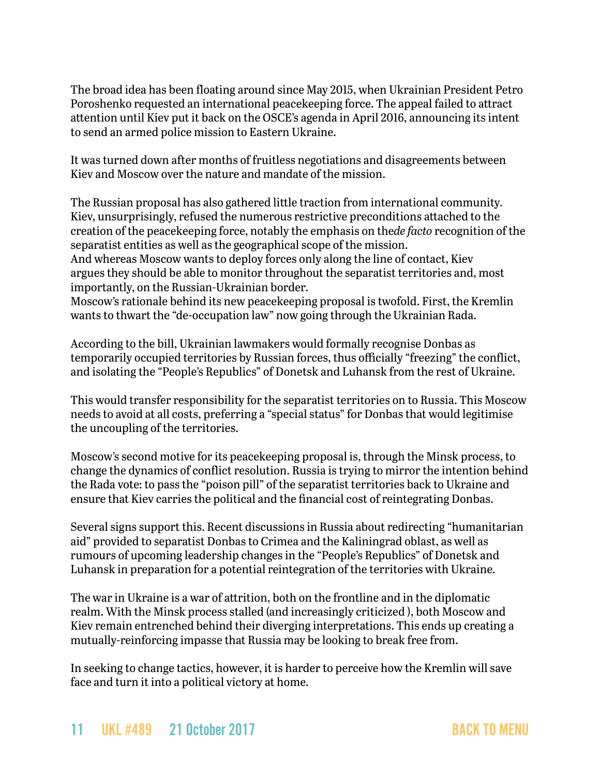The broad idea has been floating around since May 2015, when Ukrainian President Petro Poroshenko requested an international peacekeeping force. The appeal failed to attract attention until Kiev put it back on the OSCE's agenda in April 2016, announcing its intent to send an armed police mission to Eastern Ukraine.

It was turned down after months of fruitless negotiations and disagreements between Kiev and Moscow over the nature and mandate of the mission.

The Russian proposal has also gathered little traction from international community. Kiev, unsurprisingly, refused the numerous restrictive preconditions attached to the creation of the peacekeeping force, notably the emphasis on the*de facto* recognition of the separatist entities as well as the geographical scope of the mission.

And whereas Moscow wants to deploy forces only along the line of contact, Kiev argues they should be able to monitor throughout the separatist territories and, most importantly, on the Russian-Ukrainian border.

Moscow's rationale behind its new peacekeeping proposal is twofold. First, the Kremlin wants to thwart the "de-occupation law" now going through the Ukrainian Rada.

According to the bill, Ukrainian lawmakers would formally recognise Donbas as temporarily occupied territories by Russian forces, thus officially "freezing" the conflict, and isolating the "People's Republics" of Donetsk and Luhansk from the rest of Ukraine.

This would transfer responsibility for the separatist territories on to Russia. This Moscow needs to avoid at all costs, preferring a "special status" for Donbas that would legitimise the uncoupling of the territories.

Moscow's second motive for its peacekeeping proposal is, through the Minsk process, to change the dynamics of conflict resolution. Russia is trying to mirror the intention behind the Rada vote: to pass the "poison pill" of the separatist territories back to Ukraine and ensure that Kiev carries the political and the financial cost of reintegrating Donbas.

Several signs support this. Recent discussions in Russia about redirecting "humanitarian aid" provided to separatist Donbas to Crimea and the Kaliningrad oblast, as well as rumours of upcoming leadership changes in the "People's Republics" of Donetsk and Luhansk in preparation for a potential reintegration of the territories with Ukraine.

The war in Ukraine is a war of attrition, both on the frontline and in the diplomatic realm. With the Minsk process stalled (and increasingly criticized ), both Moscow and Kiev remain entrenched behind their diverging interpretations. This ends up creating a mutually-reinforcing impasse that Russia may be looking to break free from.

In seeking to change tactics, however, it is harder to perceive how the Kremlin will save face and turn it into a political victory at home.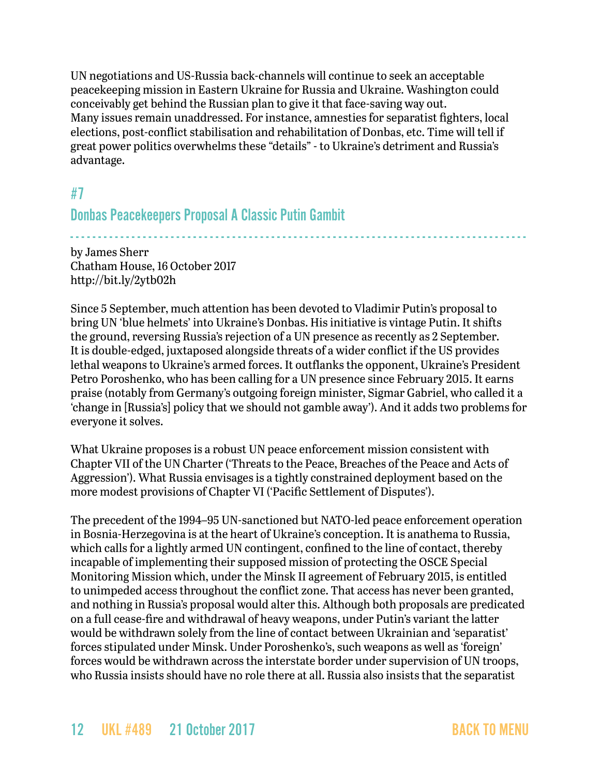UN negotiations and US-Russia back-channels will continue to seek an acceptable peacekeeping mission in Eastern Ukraine for Russia and Ukraine. Washington could conceivably get behind the Russian plan to give it that face-saving way out. Many issues remain unaddressed. For instance, amnesties for separatist fighters, local elections, post-conflict stabilisation and rehabilitation of Donbas, etc. Time will tell if great power politics overwhelms these "details" - to Ukraine's detriment and Russia's advantage.

### <span id="page-11-0"></span>#7

### Donbas Peacekeepers Proposal A Classic Putin Gambit

- - - - - - - - - - - - - - - - - - - - - - - - - - - - - - - - - - - - - - - - - - - - - - - - - - - - - - - - - - - - - - - - - - - - - - - - - - - - - - - - - by James Sherr Chatham House, 16 October 2017 <http://bit.ly/2ytb02h>

Since 5 September, much attention has been devoted to Vladimir Putin's proposal to bring UN 'blue helmets' into Ukraine's Donbas. His initiative is vintage Putin. It shifts the ground, reversing Russia's rejection of a UN presence as recently as 2 September. It is double-edged, juxtaposed alongside threats of a wider conflict if the US provides lethal weapons to Ukraine's armed forces. It outflanks the opponent, Ukraine's President Petro Poroshenko, who has been calling for a UN presence since February 2015. It earns praise (notably from Germany's outgoing foreign minister, Sigmar Gabriel, who called it a 'change in [Russia's] policy that we should not gamble away'). And it adds two problems for everyone it solves.

What Ukraine proposes is a robust UN peace enforcement mission consistent with Chapter VII of the UN Charter ('Threats to the Peace, Breaches of the Peace and Acts of Aggression'). What Russia envisages is a tightly constrained deployment based on the more modest provisions of Chapter VI ('Pacific Settlement of Disputes').

The precedent of the 1994–95 UN-sanctioned but NATO-led peace enforcement operation in Bosnia-Herzegovina is at the heart of Ukraine's conception. It is anathema to Russia, which calls for a lightly armed UN contingent, confined to the line of contact, thereby incapable of implementing their supposed mission of protecting the OSCE Special Monitoring Mission which, under the Minsk II agreement of February 2015, is entitled to unimpeded access throughout the conflict zone. That access has never been granted, and nothing in Russia's proposal would alter this. Although both proposals are predicated on a full cease-fire and withdrawal of heavy weapons, under Putin's variant the latter would be withdrawn solely from the line of contact between Ukrainian and 'separatist' forces stipulated under Minsk. Under Poroshenko's, such weapons as well as 'foreign' forces would be withdrawn across the interstate border under supervision of UN troops, who Russia insists should have no role there at all. Russia also insists that the separatist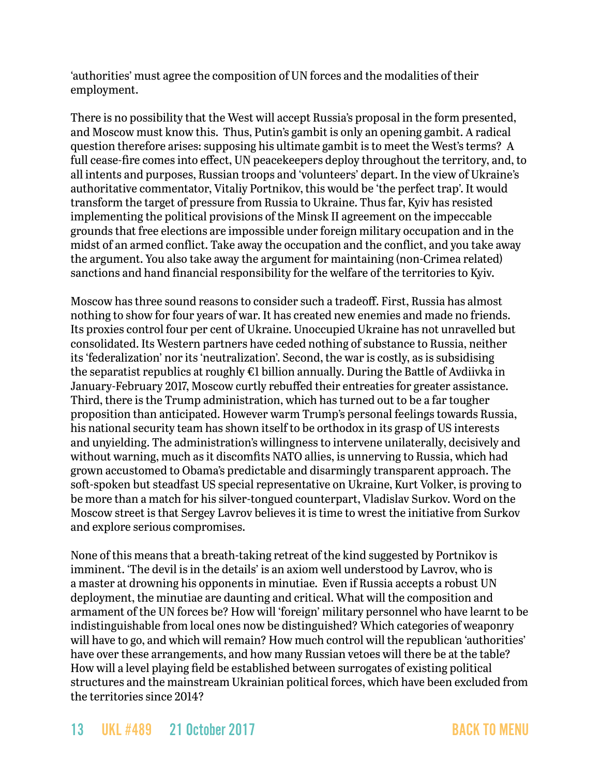'authorities' must agree the composition of UN forces and the modalities of their employment.

There is no possibility that the West will accept Russia's proposal in the form presented, and Moscow must know this. Thus, Putin's gambit is only an opening gambit. A radical question therefore arises: supposing his ultimate gambit is to meet the West's terms? A full cease-fire comes into effect, UN peacekeepers deploy throughout the territory, and, to all intents and purposes, Russian troops and 'volunteers' depart. In the view of Ukraine's authoritative commentator, Vitaliy Portnikov, this would be 'the perfect trap'. It would transform the target of pressure from Russia to Ukraine. Thus far, Kyiv has resisted implementing the political provisions of the Minsk II agreement on the impeccable grounds that free elections are impossible under foreign military occupation and in the midst of an armed conflict. Take away the occupation and the conflict, and you take away the argument. You also take away the argument for maintaining (non-Crimea related) sanctions and hand financial responsibility for the welfare of the territories to Kyiv.

Moscow has three sound reasons to consider such a tradeoff. First, Russia has almost nothing to show for four years of war. It has created new enemies and made no friends. Its proxies control four per cent of Ukraine. Unoccupied Ukraine has not unravelled but consolidated. Its Western partners have ceded nothing of substance to Russia, neither its 'federalization' nor its 'neutralization'. Second, the war is costly, as is subsidising the separatist republics at roughly €1 billion annually. During the Battle of Avdiivka in January-February 2017, Moscow curtly rebuffed their entreaties for greater assistance. Third, there is the Trump administration, which has turned out to be a far tougher proposition than anticipated. However warm Trump's personal feelings towards Russia, his national security team has shown itself to be orthodox in its grasp of US interests and unyielding. The administration's willingness to intervene unilaterally, decisively and without warning, much as it discomfits NATO allies, is unnerving to Russia, which had grown accustomed to Obama's predictable and disarmingly transparent approach. The soft-spoken but steadfast US special representative on Ukraine, Kurt Volker, is proving to be more than a match for his silver-tongued counterpart, Vladislav Surkov. Word on the Moscow street is that Sergey Lavrov believes it is time to wrest the initiative from Surkov and explore serious compromises.

None of this means that a breath-taking retreat of the kind suggested by Portnikov is imminent. 'The devil is in the details' is an axiom well understood by Lavrov, who is a master at drowning his opponents in minutiae. Even if Russia accepts a robust UN deployment, the minutiae are daunting and critical. What will the composition and armament of the UN forces be? How will 'foreign' military personnel who have learnt to be indistinguishable from local ones now be distinguished? Which categories of weaponry will have to go, and which will remain? How much control will the republican 'authorities' have over these arrangements, and how many Russian vetoes will there be at the table? How will a level playing field be established between surrogates of existing political structures and the mainstream Ukrainian political forces, which have been excluded from the territories since 2014?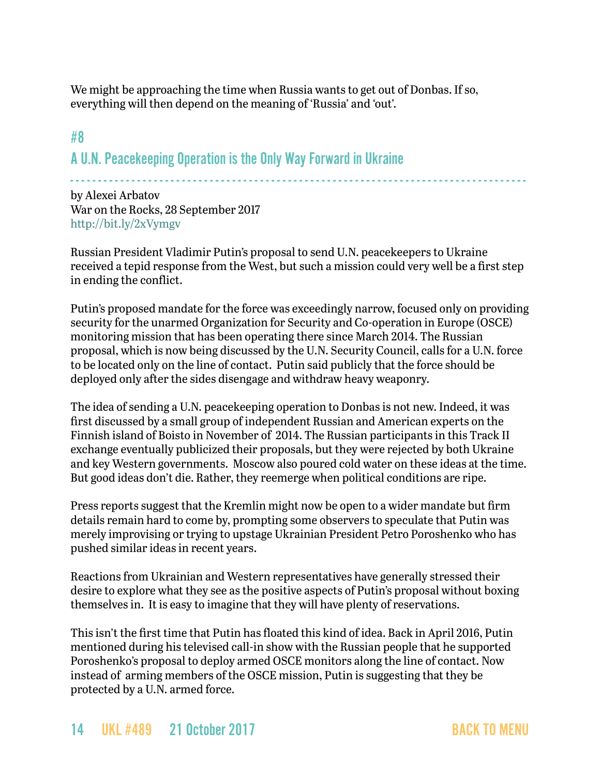We might be approaching the time when Russia wants to get out of Donbas. If so, everything will then depend on the meaning of 'Russia' and 'out'.

# <span id="page-13-0"></span>#8 A U.N. Peacekeeping Operation is the Only Way Forward in Ukraine

- - - - - - - - - - - - - - - - - - - - - - - - - - - - - - - - - - - - - - - - - - - - - - - - - - - - - - - - - - - - - - - - - - - - - - - - - - - - - - - - - -

by Alexei Arbatov War on the Rocks, 28 September 2017 <http://bit.ly/2xVymgv>

Russian President Vladimir Putin's proposal to send U.N. peacekeepers to Ukraine received a tepid response from the West, but such a mission could very well be a first step in ending the conflict.

Putin's proposed mandate for the force was exceedingly narrow, focused only on providing security for the unarmed Organization for Security and Co-operation in Europe (OSCE) monitoring mission that has been operating there since March 2014. The Russian proposal, which is now being discussed by the U.N. Security Council, calls for a U.N. force to be located only on the line of contact. Putin said publicly that the force should be deployed only after the sides disengage and withdraw heavy weaponry.

The idea of sending a U.N. peacekeeping operation to Donbas is not new. Indeed, it was first discussed by a small group of independent Russian and American experts on the Finnish island of Boisto in November of 2014. The Russian participants in this Track II exchange eventually publicized their proposals, but they were rejected by both Ukraine and key Western governments. Moscow also poured cold water on these ideas at the time. But good ideas don't die. Rather, they reemerge when political conditions are ripe.

Press reports suggest that the Kremlin might now be open to a wider mandate but firm details remain hard to come by, prompting some observers to speculate that Putin was merely improvising or trying to upstage Ukrainian President Petro Poroshenko who has pushed similar ideas in recent years.

Reactions from Ukrainian and Western representatives have generally stressed their desire to explore what they see as the positive aspects of Putin's proposal without boxing themselves in. It is easy to imagine that they will have plenty of reservations.

This isn't the first time that Putin has floated this kind of idea. Back in April 2016, Putin mentioned during his televised call-in show with the Russian people that he supported Poroshenko's proposal to deploy armed OSCE monitors along the line of contact. Now instead of arming members of the OSCE mission, Putin is suggesting that they be protected by a U.N. armed force.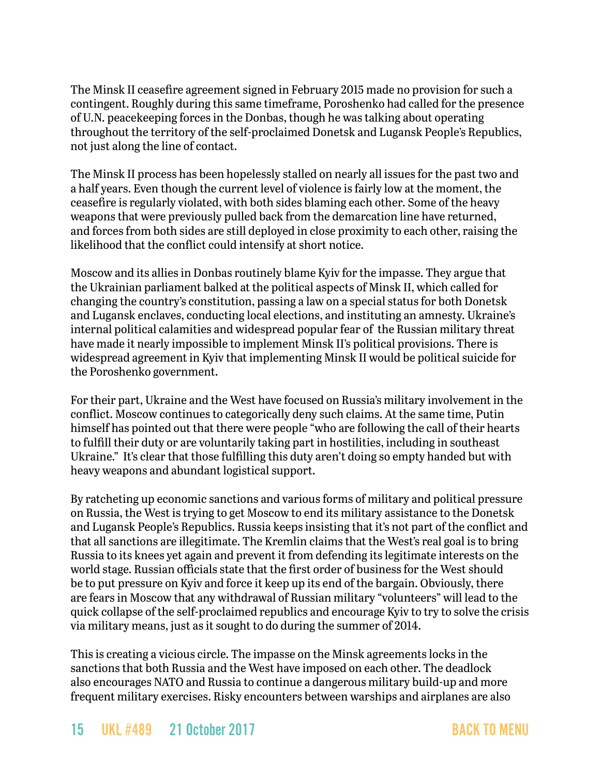The Minsk II ceasefire agreement signed in February 2015 made no provision for such a contingent. Roughly during this same timeframe, Poroshenko had called for the presence of U.N. peacekeeping forces in the Donbas, though he was talking about operating throughout the territory of the self-proclaimed Donetsk and Lugansk People's Republics, not just along the line of contact.

The Minsk II process has been hopelessly stalled on nearly all issues for the past two and a half years. Even though the current level of violence is fairly low at the moment, the ceasefire is regularly violated, with both sides blaming each other. Some of the heavy weapons that were previously pulled back from the demarcation line have returned, and forces from both sides are still deployed in close proximity to each other, raising the likelihood that the conflict could intensify at short notice.

Moscow and its allies in Donbas routinely blame Kyiv for the impasse. They argue that the Ukrainian parliament balked at the political aspects of Minsk II, which called for changing the country's constitution, passing a law on a special status for both Donetsk and Lugansk enclaves, conducting local elections, and instituting an amnesty. Ukraine's internal political calamities and widespread popular fear of the Russian military threat have made it nearly impossible to implement Minsk II's political provisions. There is widespread agreement in Kyiv that implementing Minsk II would be political suicide for the Poroshenko government.

For their part, Ukraine and the West have focused on Russia's military involvement in the conflict. Moscow continues to categorically deny such claims. At the same time, Putin himself has pointed out that there were people "who are following the call of their hearts to fulfill their duty or are voluntarily taking part in hostilities, including in southeast Ukraine." It's clear that those fulfilling this duty aren't doing so empty handed but with heavy weapons and abundant logistical support.

By ratcheting up economic sanctions and various forms of military and political pressure on Russia, the West is trying to get Moscow to end its military assistance to the Donetsk and Lugansk People's Republics. Russia keeps insisting that it's not part of the conflict and that all sanctions are illegitimate. The Kremlin claims that the West's real goal is to bring Russia to its knees yet again and prevent it from defending its legitimate interests on the world stage. Russian officials state that the first order of business for the West should be to put pressure on Kyiv and force it keep up its end of the bargain. Obviously, there are fears in Moscow that any withdrawal of Russian military "volunteers" will lead to the quick collapse of the self-proclaimed republics and encourage Kyiv to try to solve the crisis via military means, just as it sought to do during the summer of 2014.

This is creating a vicious circle. The impasse on the Minsk agreements locks in the sanctions that both Russia and the West have imposed on each other. The deadlock also encourages NATO and Russia to continue a dangerous military build-up and more frequent military exercises. Risky encounters between warships and airplanes are also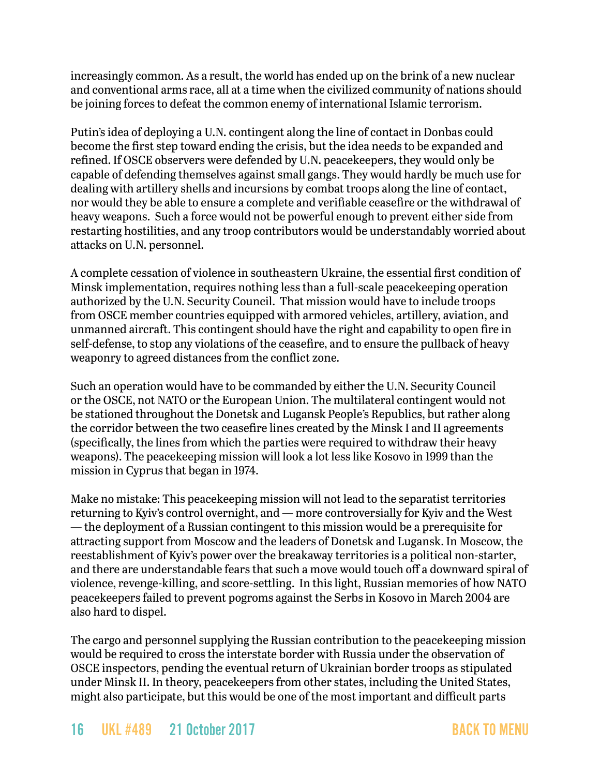increasingly common. As a result, the world has ended up on the brink of a new nuclear and conventional arms race, all at a time when the civilized community of nations should be joining forces to defeat the common enemy of international Islamic terrorism.

Putin's idea of deploying a U.N. contingent along the line of contact in Donbas could become the first step toward ending the crisis, but the idea needs to be expanded and refined. If OSCE observers were defended by U.N. peacekeepers, they would only be capable of defending themselves against small gangs. They would hardly be much use for dealing with artillery shells and incursions by combat troops along the line of contact, nor would they be able to ensure a complete and verifiable ceasefire or the withdrawal of heavy weapons. Such a force would not be powerful enough to prevent either side from restarting hostilities, and any troop contributors would be understandably worried about attacks on U.N. personnel.

A complete cessation of violence in southeastern Ukraine, the essential first condition of Minsk implementation, requires nothing less than a full-scale peacekeeping operation authorized by the U.N. Security Council. That mission would have to include troops from OSCE member countries equipped with armored vehicles, artillery, aviation, and unmanned aircraft. This contingent should have the right and capability to open fire in self-defense, to stop any violations of the ceasefire, and to ensure the pullback of heavy weaponry to agreed distances from the conflict zone.

Such an operation would have to be commanded by either the U.N. Security Council or the OSCE, not NATO or the European Union. The multilateral contingent would not be stationed throughout the Donetsk and Lugansk People's Republics, but rather along the corridor between the two ceasefire lines created by the Minsk I and II agreements (specifically, the lines from which the parties were required to withdraw their heavy weapons). The peacekeeping mission will look a lot less like Kosovo in 1999 than the mission in Cyprus that began in 1974.

Make no mistake: This peacekeeping mission will not lead to the separatist territories returning to Kyiv's control overnight, and — more controversially for Kyiv and the West — the deployment of a Russian contingent to this mission would be a prerequisite for attracting support from Moscow and the leaders of Donetsk and Lugansk. In Moscow, the reestablishment of Kyiv's power over the breakaway territories is a political non-starter, and there are understandable fears that such a move would touch off a downward spiral of violence, revenge-killing, and score-settling. In this light, Russian memories of how NATO peacekeepers failed to prevent pogroms against the Serbs in Kosovo in March 2004 are also hard to dispel.

The cargo and personnel supplying the Russian contribution to the peacekeeping mission would be required to cross the interstate border with Russia under the observation of OSCE inspectors, pending the eventual return of Ukrainian border troops as stipulated under Minsk II. In theory, peacekeepers from other states, including the United States, might also participate, but this would be one of the most important and difficult parts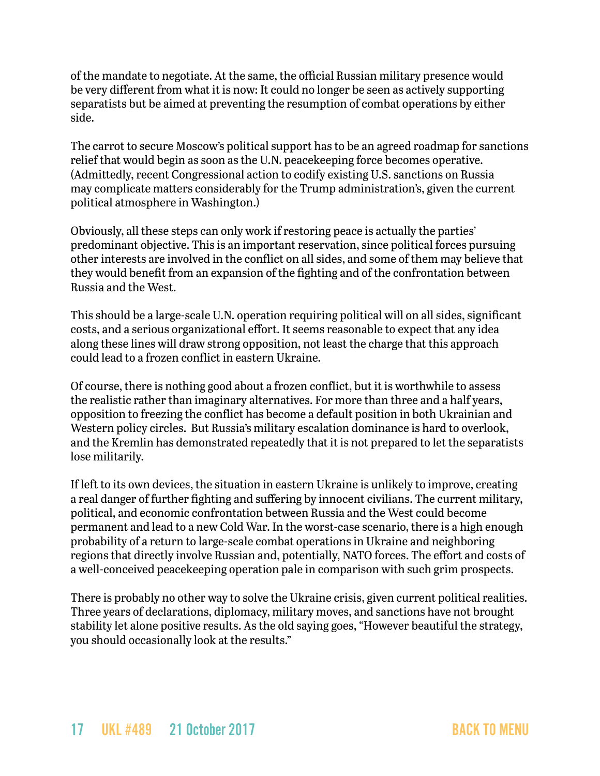of the mandate to negotiate. At the same, the official Russian military presence would be very different from what it is now: It could no longer be seen as actively supporting separatists but be aimed at preventing the resumption of combat operations by either side.

The carrot to secure Moscow's political support has to be an agreed roadmap for sanctions relief that would begin as soon as the U.N. peacekeeping force becomes operative. (Admittedly, recent Congressional action to codify existing U.S. sanctions on Russia may complicate matters considerably for the Trump administration's, given the current political atmosphere in Washington.)

Obviously, all these steps can only work if restoring peace is actually the parties' predominant objective. This is an important reservation, since political forces pursuing other interests are involved in the conflict on all sides, and some of them may believe that they would benefit from an expansion of the fighting and of the confrontation between Russia and the West.

This should be a large-scale U.N. operation requiring political will on all sides, significant costs, and a serious organizational effort. It seems reasonable to expect that any idea along these lines will draw strong opposition, not least the charge that this approach could lead to a frozen conflict in eastern Ukraine.

Of course, there is nothing good about a frozen conflict, but it is worthwhile to assess the realistic rather than imaginary alternatives. For more than three and a half years, opposition to freezing the conflict has become a default position in both Ukrainian and Western policy circles. But Russia's military escalation dominance is hard to overlook, and the Kremlin has demonstrated repeatedly that it is not prepared to let the separatists lose militarily.

If left to its own devices, the situation in eastern Ukraine is unlikely to improve, creating a real danger of further fighting and suffering by innocent civilians. The current military, political, and economic confrontation between Russia and the West could become permanent and lead to a new Cold War. In the worst-case scenario, there is a high enough probability of a return to large-scale combat operations in Ukraine and neighboring regions that directly involve Russian and, potentially, NATO forces. The effort and costs of a well-conceived peacekeeping operation pale in comparison with such grim prospects.

There is probably no other way to solve the Ukraine crisis, given current political realities. Three years of declarations, diplomacy, military moves, and sanctions have not brought stability let alone positive results. As the old saying goes, "However beautiful the strategy, you should occasionally look at the results."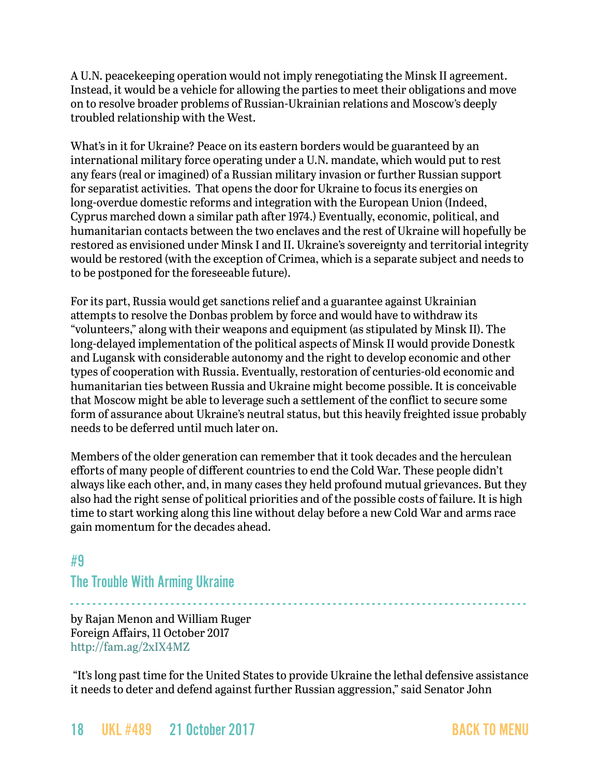A U.N. peacekeeping operation would not imply renegotiating the Minsk II agreement. Instead, it would be a vehicle for allowing the parties to meet their obligations and move on to resolve broader problems of Russian-Ukrainian relations and Moscow's deeply troubled relationship with the West.

What's in it for Ukraine? Peace on its eastern borders would be guaranteed by an international military force operating under a U.N. mandate, which would put to rest any fears (real or imagined) of a Russian military invasion or further Russian support for separatist activities. That opens the door for Ukraine to focus its energies on long-overdue domestic reforms and integration with the European Union (Indeed, Cyprus marched down a similar path after 1974.) Eventually, economic, political, and humanitarian contacts between the two enclaves and the rest of Ukraine will hopefully be restored as envisioned under Minsk I and II. Ukraine's sovereignty and territorial integrity would be restored (with the exception of Crimea, which is a separate subject and needs to to be postponed for the foreseeable future).

For its part, Russia would get sanctions relief and a guarantee against Ukrainian attempts to resolve the Donbas problem by force and would have to withdraw its "volunteers," along with their weapons and equipment (as stipulated by Minsk II). The long-delayed implementation of the political aspects of Minsk II would provide Donestk and Lugansk with considerable autonomy and the right to develop economic and other types of cooperation with Russia. Eventually, restoration of centuries-old economic and humanitarian ties between Russia and Ukraine might become possible. It is conceivable that Moscow might be able to leverage such a settlement of the conflict to secure some form of assurance about Ukraine's neutral status, but this heavily freighted issue probably needs to be deferred until much later on.

Members of the older generation can remember that it took decades and the herculean efforts of many people of different countries to end the Cold War. These people didn't always like each other, and, in many cases they held profound mutual grievances. But they also had the right sense of political priorities and of the possible costs of failure. It is high time to start working along this line without delay before a new Cold War and arms race gain momentum for the decades ahead.

# <span id="page-17-0"></span>#9 The Trouble With Arming Ukraine

- - - - - - - - - - - - - - - - - - - - - - - - - - - - - - - - - - - - - - - - - - - - - - - - - - - - - - - - - - - - - - - - - - - - - - - - - - - - - - - - - by Rajan Menon and William Ruger Foreign Affairs, 11 October 2017 <http://fam.ag/2xIX4MZ>

 "It's long past time for the United States to provide Ukraine the lethal defensive assistance it needs to deter and defend against further Russian aggression," said Senator John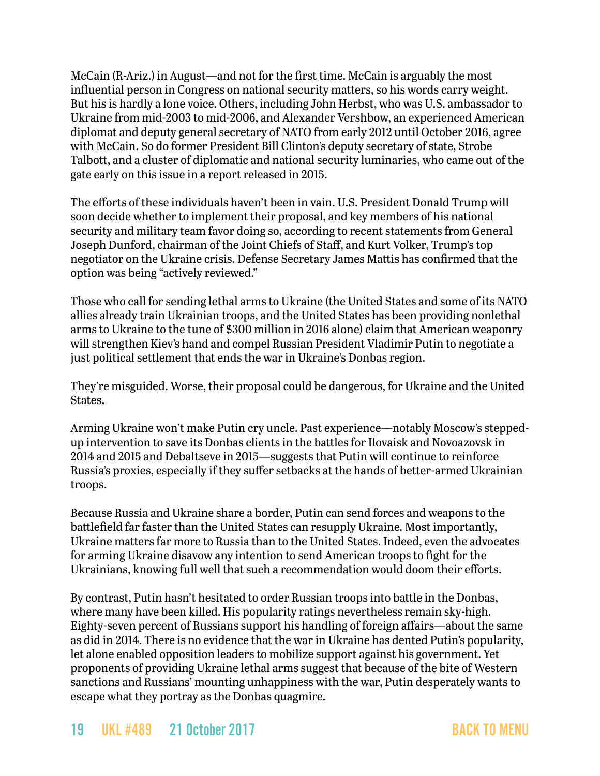McCain (R-Ariz.) in August—and not for the first time. McCain is arguably the most influential person in Congress on national security matters, so his words carry weight. But his is hardly a lone voice. Others, including John Herbst, who was U.S. ambassador to Ukraine from mid-2003 to mid-2006, and Alexander Vershbow, an experienced American diplomat and deputy general secretary of NATO from early 2012 until October 2016, agree with McCain. So do former President Bill Clinton's deputy secretary of state, Strobe Talbott, and a cluster of diplomatic and national security luminaries, who came out of the gate early on this issue in a report released in 2015.

The efforts of these individuals haven't been in vain. U.S. President Donald Trump will soon decide whether to implement their proposal, and key members of his national security and military team favor doing so, according to recent statements from General Joseph Dunford, chairman of the Joint Chiefs of Staff, and Kurt Volker, Trump's top negotiator on the Ukraine crisis. Defense Secretary James Mattis has confirmed that the option was being "actively reviewed."

Those who call for sending lethal arms to Ukraine (the United States and some of its NATO allies already train Ukrainian troops, and the United States has been providing nonlethal arms to Ukraine to the tune of \$300 million in 2016 alone) claim that American weaponry will strengthen Kiev's hand and compel Russian President Vladimir Putin to negotiate a just political settlement that ends the war in Ukraine's Donbas region.

They're misguided. Worse, their proposal could be dangerous, for Ukraine and the United States.

Arming Ukraine won't make Putin cry uncle. Past experience—notably Moscow's steppedup intervention to save its Donbas clients in the battles for Ilovaisk and Novoazovsk in 2014 and 2015 and Debaltseve in 2015—suggests that Putin will continue to reinforce Russia's proxies, especially if they suffer setbacks at the hands of better-armed Ukrainian troops.

Because Russia and Ukraine share a border, Putin can send forces and weapons to the battlefield far faster than the United States can resupply Ukraine. Most importantly, Ukraine matters far more to Russia than to the United States. Indeed, even the advocates for arming Ukraine disavow any intention to send American troops to fight for the Ukrainians, knowing full well that such a recommendation would doom their efforts.

By contrast, Putin hasn't hesitated to order Russian troops into battle in the Donbas, where many have been killed. His popularity ratings nevertheless remain sky-high. Eighty-seven percent of Russians support his handling of foreign affairs—about the same as did in 2014. There is no evidence that the war in Ukraine has dented Putin's popularity, let alone enabled opposition leaders to mobilize support against his government. Yet proponents of providing Ukraine lethal arms suggest that because of the bite of Western sanctions and Russians' mounting unhappiness with the war, Putin desperately wants to escape what they portray as the Donbas quagmire.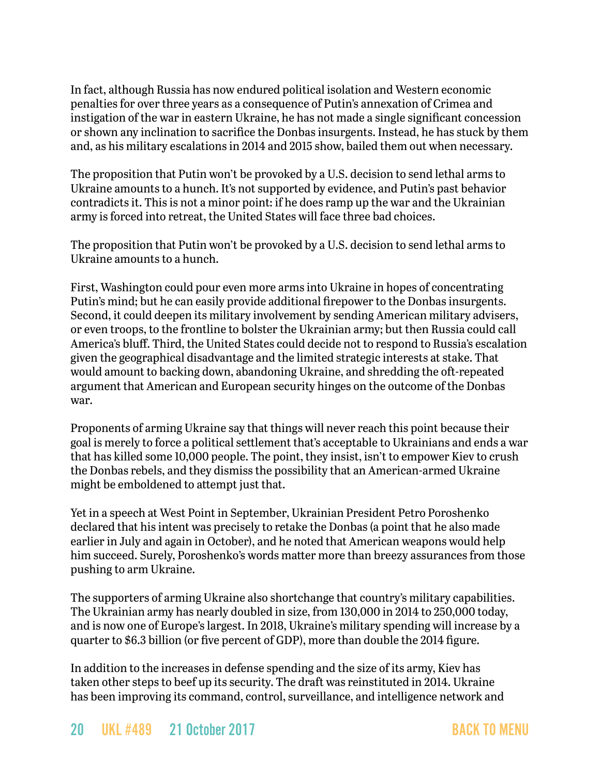In fact, although Russia has now endured political isolation and Western economic penalties for over three years as a consequence of Putin's annexation of Crimea and instigation of the war in eastern Ukraine, he has not made a single significant concession or shown any inclination to sacrifice the Donbas insurgents. Instead, he has stuck by them and, as his military escalations in 2014 and 2015 show, bailed them out when necessary.

The proposition that Putin won't be provoked by a U.S. decision to send lethal arms to Ukraine amounts to a hunch. It's not supported by evidence, and Putin's past behavior contradicts it. This is not a minor point: if he does ramp up the war and the Ukrainian army is forced into retreat, the United States will face three bad choices.

The proposition that Putin won't be provoked by a U.S. decision to send lethal arms to Ukraine amounts to a hunch.

First, Washington could pour even more arms into Ukraine in hopes of concentrating Putin's mind; but he can easily provide additional firepower to the Donbas insurgents. Second, it could deepen its military involvement by sending American military advisers, or even troops, to the frontline to bolster the Ukrainian army; but then Russia could call America's bluff. Third, the United States could decide not to respond to Russia's escalation given the geographical disadvantage and the limited strategic interests at stake. That would amount to backing down, abandoning Ukraine, and shredding the oft-repeated argument that American and European security hinges on the outcome of the Donbas war.

Proponents of arming Ukraine say that things will never reach this point because their goal is merely to force a political settlement that's acceptable to Ukrainians and ends a war that has killed some 10,000 people. The point, they insist, isn't to empower Kiev to crush the Donbas rebels, and they dismiss the possibility that an American-armed Ukraine might be emboldened to attempt just that.

Yet in a speech at West Point in September, Ukrainian President Petro Poroshenko declared that his intent was precisely to retake the Donbas (a point that he also made earlier in July and again in October), and he noted that American weapons would help him succeed. Surely, Poroshenko's words matter more than breezy assurances from those pushing to arm Ukraine.

The supporters of arming Ukraine also shortchange that country's military capabilities. The Ukrainian army has nearly doubled in size, from 130,000 in 2014 to 250,000 today, and is now one of Europe's largest. In 2018, Ukraine's military spending will increase by a quarter to \$6.3 billion (or five percent of GDP), more than double the 2014 figure.

In addition to the increases in defense spending and the size of its army, Kiev has taken other steps to beef up its security. The draft was reinstituted in 2014. Ukraine has been improving its command, control, surveillance, and intelligence network and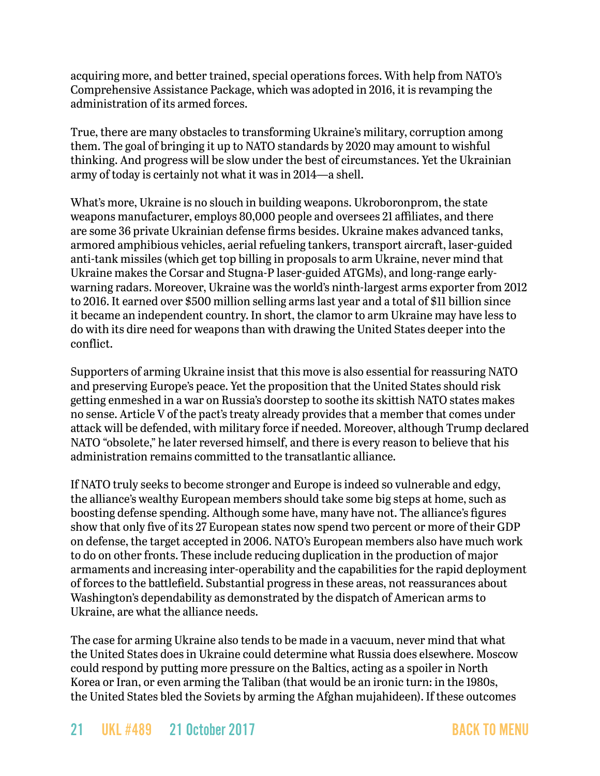acquiring more, and better trained, special operations forces. With help from NATO's Comprehensive Assistance Package, which was adopted in 2016, it is revamping the administration of its armed forces.

True, there are many obstacles to transforming Ukraine's military, corruption among them. The goal of bringing it up to NATO standards by 2020 may amount to wishful thinking. And progress will be slow under the best of circumstances. Yet the Ukrainian army of today is certainly not what it was in 2014—a shell.

What's more, Ukraine is no slouch in building weapons. Ukroboronprom, the state weapons manufacturer, employs 80,000 people and oversees 21 affiliates, and there are some 36 private Ukrainian defense firms besides. Ukraine makes advanced tanks, armored amphibious vehicles, aerial refueling tankers, transport aircraft, laser-guided anti-tank missiles (which get top billing in proposals to arm Ukraine, never mind that Ukraine makes the Corsar and Stugna-P laser-guided ATGMs), and long-range earlywarning radars. Moreover, Ukraine was the world's ninth-largest arms exporter from 2012 to 2016. It earned over \$500 million selling arms last year and a total of \$11 billion since it became an independent country. In short, the clamor to arm Ukraine may have less to do with its dire need for weapons than with drawing the United States deeper into the conflict.

Supporters of arming Ukraine insist that this move is also essential for reassuring NATO and preserving Europe's peace. Yet the proposition that the United States should risk getting enmeshed in a war on Russia's doorstep to soothe its skittish NATO states makes no sense. Article V of the pact's treaty already provides that a member that comes under attack will be defended, with military force if needed. Moreover, although Trump declared NATO "obsolete," he later reversed himself, and there is every reason to believe that his administration remains committed to the transatlantic alliance.

If NATO truly seeks to become stronger and Europe is indeed so vulnerable and edgy, the alliance's wealthy European members should take some big steps at home, such as boosting defense spending. Although some have, many have not. The alliance's figures show that only five of its 27 European states now spend two percent or more of their GDP on defense, the target accepted in 2006. NATO's European members also have much work to do on other fronts. These include reducing duplication in the production of major armaments and increasing inter-operability and the capabilities for the rapid deployment of forces to the battlefield. Substantial progress in these areas, not reassurances about Washington's dependability as demonstrated by the dispatch of American arms to Ukraine, are what the alliance needs.

The case for arming Ukraine also tends to be made in a vacuum, never mind that what the United States does in Ukraine could determine what Russia does elsewhere. Moscow could respond by putting more pressure on the Baltics, acting as a spoiler in North Korea or Iran, or even arming the Taliban (that would be an ironic turn: in the 1980s, the United States bled the Soviets by arming the Afghan mujahideen). If these outcomes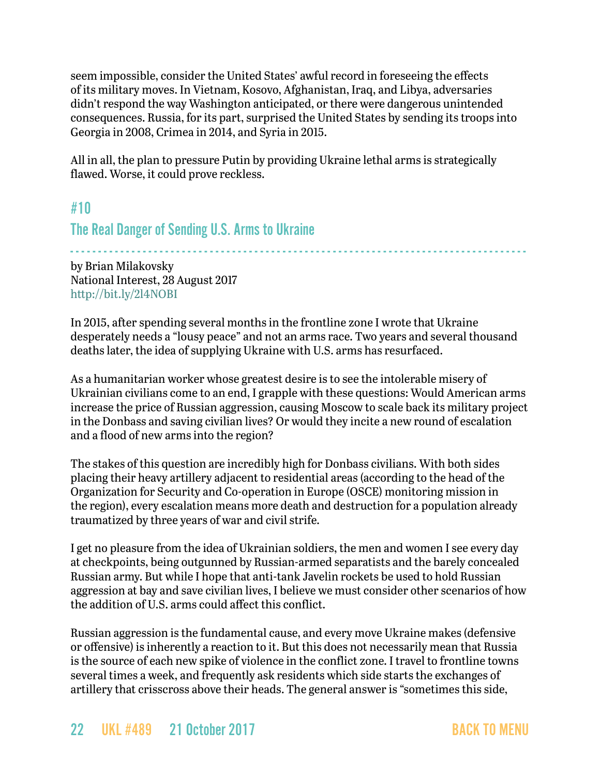seem impossible, consider the United States' awful record in foreseeing the effects of its military moves. In Vietnam, Kosovo, Afghanistan, Iraq, and Libya, adversaries didn't respond the way Washington anticipated, or there were dangerous unintended consequences. Russia, for its part, surprised the United States by sending its troops into Georgia in 2008, Crimea in 2014, and Syria in 2015.

All in all, the plan to pressure Putin by providing Ukraine lethal arms is strategically flawed. Worse, it could prove reckless.

### <span id="page-21-0"></span>#10

### The Real Danger of Sending U.S. Arms to Ukraine

- - - - - - - - - - - - - - - - - - - - - - - - - - - - - - - - - - - - - - - - - - - - - - - - - - - - - - - - - - - - - - - - - - - - - - - - - - - - - - - - - by Brian Milakovsky National Interest, 28 August 2017 <http://bit.ly/2l4NOBI>

In 2015, after spending several months in the frontline zone I wrote that Ukraine desperately needs a "lousy peace" and not an arms race. Two years and several thousand deaths later, the idea of supplying Ukraine with U.S. arms has resurfaced.

As a humanitarian worker whose greatest desire is to see the intolerable misery of Ukrainian civilians come to an end, I grapple with these questions: Would American arms increase the price of Russian aggression, causing Moscow to scale back its military project in the Donbass and saving civilian lives? Or would they incite a new round of escalation and a flood of new arms into the region?

The stakes of this question are incredibly high for Donbass civilians. With both sides placing their heavy artillery adjacent to residential areas (according to the head of the Organization for Security and Co-operation in Europe (OSCE) monitoring mission in the region), every escalation means more death and destruction for a population already traumatized by three years of war and civil strife.

I get no pleasure from the idea of Ukrainian soldiers, the men and women I see every day at checkpoints, being outgunned by Russian-armed separatists and the barely concealed Russian army. But while I hope that anti-tank Javelin rockets be used to hold Russian aggression at bay and save civilian lives, I believe we must consider other scenarios of how the addition of U.S. arms could affect this conflict.

Russian aggression is the fundamental cause, and every move Ukraine makes (defensive or offensive) is inherently a reaction to it. But this does not necessarily mean that Russia is the source of each new spike of violence in the conflict zone. I travel to frontline towns several times a week, and frequently ask residents which side starts the exchanges of artillery that crisscross above their heads. The general answer is "sometimes this side,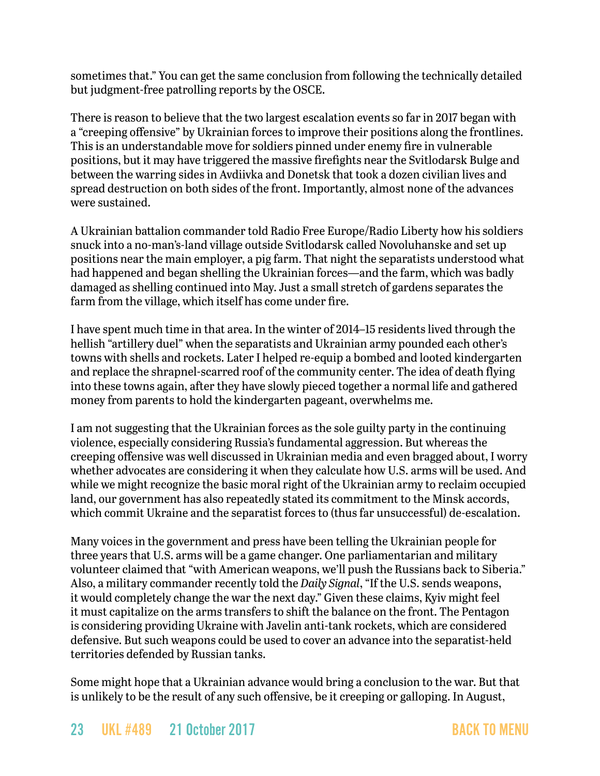sometimes that." You can get the same conclusion from following the technically detailed but judgment-free patrolling reports by the OSCE.

There is reason to believe that the two largest escalation events so far in 2017 began with a "creeping offensive" by Ukrainian forces to improve their positions along the frontlines. This is an understandable move for soldiers pinned under enemy fire in vulnerable positions, but it may have triggered the massive firefights near the Svitlodarsk Bulge and between the warring sides in Avdiivka and Donetsk that took a dozen civilian lives and spread destruction on both sides of the front. Importantly, almost none of the advances were sustained.

A Ukrainian battalion commander told Radio Free Europe/Radio Liberty how his soldiers snuck into a no-man's-land village outside Svitlodarsk called Novoluhanske and set up positions near the main employer, a pig farm. That night the separatists understood what had happened and began shelling the Ukrainian forces—and the farm, which was badly damaged as shelling continued into May. Just a small stretch of gardens separates the farm from the village, which itself has come under fire.

I have spent much time in that area. In the winter of 2014–15 residents lived through the hellish "artillery duel" when the separatists and Ukrainian army pounded each other's towns with shells and rockets. Later I helped re-equip a bombed and looted kindergarten and replace the shrapnel-scarred roof of the community center. The idea of death flying into these towns again, after they have slowly pieced together a normal life and gathered money from parents to hold the kindergarten pageant, overwhelms me.

I am not suggesting that the Ukrainian forces as the sole guilty party in the continuing violence, especially considering Russia's fundamental aggression. But whereas the creeping offensive was well discussed in Ukrainian media and even bragged about, I worry whether advocates are considering it when they calculate how U.S. arms will be used. And while we might recognize the basic moral right of the Ukrainian army to reclaim occupied land, our government has also repeatedly stated its commitment to the Minsk accords, which commit Ukraine and the separatist forces to (thus far unsuccessful) de-escalation.

Many voices in the government and press have been telling the Ukrainian people for three years that U.S. arms will be a game changer. One parliamentarian and military volunteer claimed that "with American weapons, we'll push the Russians back to Siberia." Also, a military commander recently told the *Daily Signal*, "If the U.S. sends weapons, it would completely change the war the next day." Given these claims, Kyiv might feel it must capitalize on the arms transfers to shift the balance on the front. The Pentagon is considering providing Ukraine with Javelin anti-tank rockets, which are considered defensive. But such weapons could be used to cover an advance into the separatist-held territories defended by Russian tanks.

Some might hope that a Ukrainian advance would bring a conclusion to the war. But that is unlikely to be the result of any such offensive, be it creeping or galloping. In August,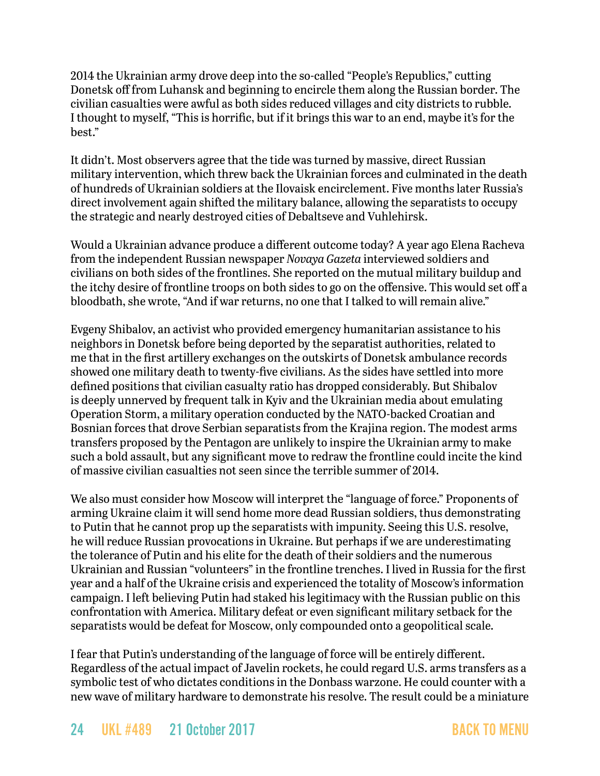2014 the Ukrainian army drove deep into the so-called "People's Republics," cutting Donetsk off from Luhansk and beginning to encircle them along the Russian border. The civilian casualties were awful as both sides reduced villages and city districts to rubble. I thought to myself, "This is horrific, but if it brings this war to an end, maybe it's for the best."

It didn't. Most observers agree that the tide was turned by massive, direct Russian military intervention, which threw back the Ukrainian forces and culminated in the death of hundreds of Ukrainian soldiers at the Ilovaisk encirclement. Five months later Russia's direct involvement again shifted the military balance, allowing the separatists to occupy the strategic and nearly destroyed cities of Debaltseve and Vuhlehirsk.

Would a Ukrainian advance produce a different outcome today? A year ago Elena Racheva from the independent Russian newspaper *Novaya Gazeta* interviewed soldiers and civilians on both sides of the frontlines. She reported on the mutual military buildup and the itchy desire of frontline troops on both sides to go on the offensive. This would set off a bloodbath, she wrote, "And if war returns, no one that I talked to will remain alive."

Evgeny Shibalov, an activist who provided emergency humanitarian assistance to his neighbors in Donetsk before being deported by the separatist authorities, related to me that in the first artillery exchanges on the outskirts of Donetsk ambulance records showed one military death to twenty-five civilians. As the sides have settled into more defined positions that civilian casualty ratio has dropped considerably. But Shibalov is deeply unnerved by frequent talk in Kyiv and the Ukrainian media about emulating Operation Storm, a military operation conducted by the NATO-backed Croatian and Bosnian forces that drove Serbian separatists from the Krajina region. The modest arms transfers proposed by the Pentagon are unlikely to inspire the Ukrainian army to make such a bold assault, but any significant move to redraw the frontline could incite the kind of massive civilian casualties not seen since the terrible summer of 2014.

We also must consider how Moscow will interpret the "language of force." Proponents of arming Ukraine claim it will send home more dead Russian soldiers, thus demonstrating to Putin that he cannot prop up the separatists with impunity. Seeing this U.S. resolve, he will reduce Russian provocations in Ukraine. But perhaps if we are underestimating the tolerance of Putin and his elite for the death of their soldiers and the numerous Ukrainian and Russian "volunteers" in the frontline trenches. I lived in Russia for the first year and a half of the Ukraine crisis and experienced the totality of Moscow's information campaign. I left believing Putin had staked his legitimacy with the Russian public on this confrontation with America. Military defeat or even significant military setback for the separatists would be defeat for Moscow, only compounded onto a geopolitical scale.

I fear that Putin's understanding of the language of force will be entirely different. Regardless of the actual impact of Javelin rockets, he could regard U.S. arms transfers as a symbolic test of who dictates conditions in the Donbass warzone. He could counter with a new wave of military hardware to demonstrate his resolve. The result could be a miniature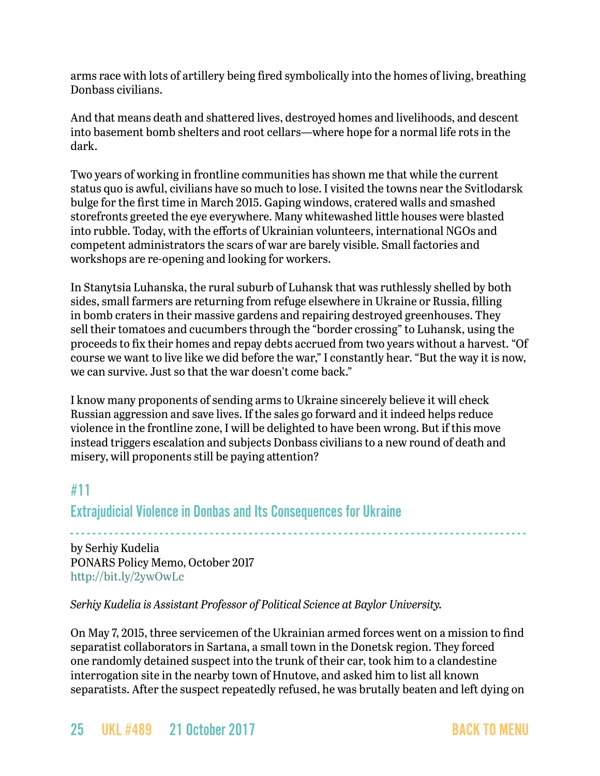arms race with lots of artillery being fired symbolically into the homes of living, breathing Donbass civilians.

And that means death and shattered lives, destroyed homes and livelihoods, and descent into basement bomb shelters and root cellars—where hope for a normal life rots in the dark.

Two years of working in frontline communities has shown me that while the current status quo is awful, civilians have so much to lose. I visited the towns near the Svitlodarsk bulge for the first time in March 2015. Gaping windows, cratered walls and smashed storefronts greeted the eye everywhere. Many whitewashed little houses were blasted into rubble. Today, with the efforts of Ukrainian volunteers, international NGOs and competent administrators the scars of war are barely visible. Small factories and workshops are re-opening and looking for workers.

In Stanytsia Luhanska, the rural suburb of Luhansk that was ruthlessly shelled by both sides, small farmers are returning from refuge elsewhere in Ukraine or Russia, filling in bomb craters in their massive gardens and repairing destroyed greenhouses. They sell their tomatoes and cucumbers through the "border crossing" to Luhansk, using the proceeds to fix their homes and repay debts accrued from two years without a harvest. "Of course we want to live like we did before the war," I constantly hear. "But the way it is now, we can survive. Just so that the war doesn't come back."

I know many proponents of sending arms to Ukraine sincerely believe it will check Russian aggression and save lives. If the sales go forward and it indeed helps reduce violence in the frontline zone, I will be delighted to have been wrong. But if this move instead triggers escalation and subjects Donbass civilians to a new round of death and misery, will proponents still be paying attention?

# <span id="page-24-0"></span>#11

### Extrajudicial Violence in Donbas and Its Consequences for Ukraine

- - - - - - - - - - - - - - - - - - - - - - - - - - - - - - - - - - - - - - - - - - - - - - - - - - - - - - - - - - - - - - - - - - - - - - - - - - - - - - - - - by Serhiy Kudelia PONARS Policy Memo, October 2017 <http://bit.ly/2ywOwLc>

*Serhiy Kudelia is Assistant Professor of Political Science at Baylor University.*

On May 7, 2015, three servicemen of the Ukrainian armed forces went on a mission to find separatist collaborators in Sartana, a small town in the Donetsk region. They forced one randomly detained suspect into the trunk of their car, took him to a clandestine interrogation site in the nearby town of Hnutove, and asked him to list all known separatists. After the suspect repeatedly refused, he was brutally beaten and left dying on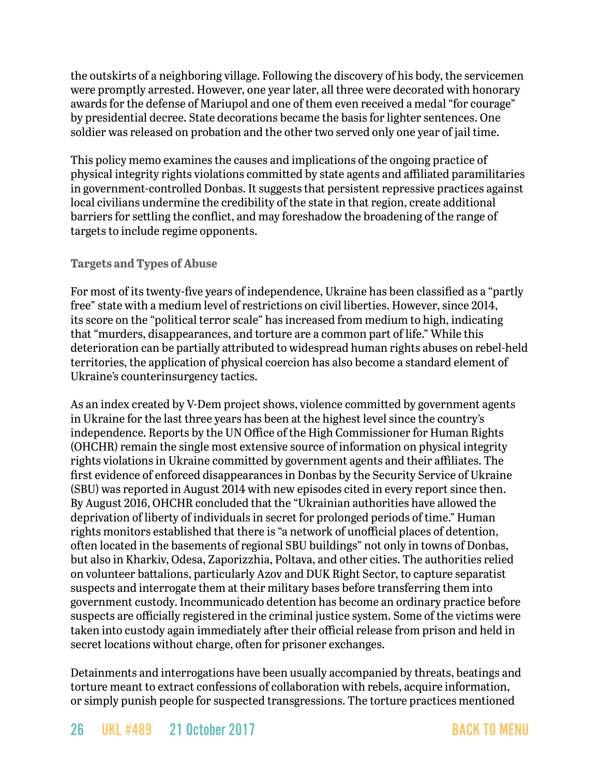the outskirts of a neighboring village. Following the discovery of his body, the servicemen were promptly arrested. However, one year later, all three were decorated with honorary awards for the defense of Mariupol and one of them even [received](http://www.president.gov.ua/documents/3102016-20321) a medal "for courage" by presidential decree. State decorations became the basis for lighter sentences. One soldier was released on probation and the other two served only one year of jail time.

This policy memo examines the causes and implications of the ongoing practice of physical integrity rights violations committed by state agents and affiliated paramilitaries in government-controlled Donbas. It suggests that persistent repressive practices against local civilians undermine the credibility of the state in that region, create additional barriers for settling the conflict, and may foreshadow the broadening of the range of targets to include regime opponents.

### **Targets and Types of Abuse**

For most of its twenty-five years of independence, Ukraine has been classified as a "partly free" state with a medium level of restrictions on civil liberties. However, since 2014, its score on the "[political terror scale"](http://www.politicalterrorscale.org/Data/Datatable.html) has increased from medium to high, indicating that "murders, disappearances, and torture are a common part of life." While this deterioration can be partially attributed to widespread human rights abuses on rebel-held territories, the application of physical coercion has also become a standard element of Ukraine's counterinsurgency tactics.

As an index created by V-Dem project shows, violence committed by government agents in Ukraine for the last three years has been at the highest level since the country's independence. Reports by the UN Office of the High Commissioner for Human Rights (OHCHR) remain the single most extensive source of information on physical integrity rights violations in Ukraine committed by government agents and their affiliates. The first evidence of enforced disappearances in Donbas by the Security Service of Ukraine (SBU) was reported in August 2014 with new episodes cited in every report since then. By August 2016, OHCHR [concluded](http://www.ohchr.org/Documents/Countries/UA/Ukraine15thReport.pdf) that the "Ukrainian authorities have allowed the deprivation of liberty of individuals in secret for prolonged periods of time." Human rights monitors [established](http://www.ohchr.org/Documents/Countries/UA/Ukraine_13th_HRMMU_Report_3March2016.pdf) that there is "a network of unofficial places of detention, often located in the basements of regional SBU buildings" not only in towns of Donbas, but also in Kharkiv, Odesa, Zaporizzhia, Poltava, and other cities. The authorities relied on volunteer battalions, particularly Azov and DUK Right Sector, to capture separatist suspects and interrogate them at their military bases before transferring them into government custody. Incommunicado detention has become an ordinary practice before suspects are officially registered in the criminal justice system. Some of the victims were taken into custody again immediately after their official release from prison and held in secret locations without charge, often for prisoner exchanges.

Detainments and interrogations have been usually accompanied by threats, beatings and torture meant to extract confessions of collaboration with rebels, acquire information, or simply punish people for suspected transgressions. The torture practices mentioned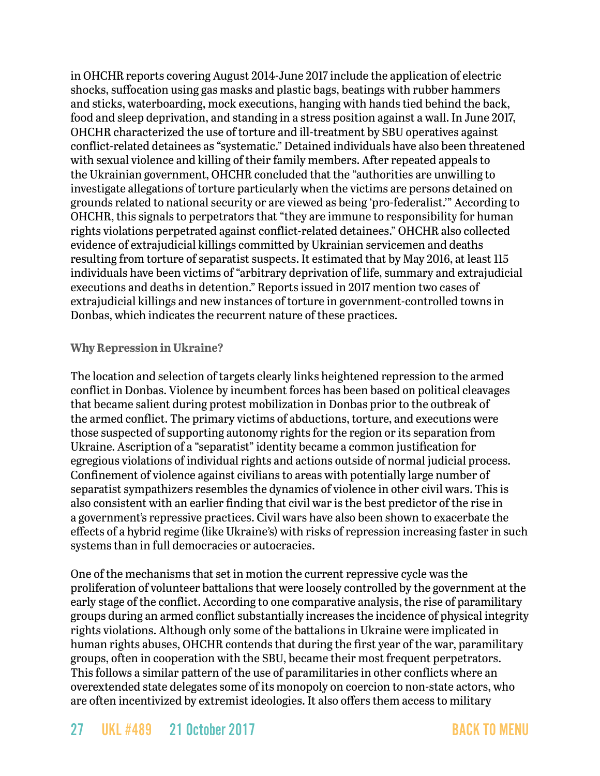in OHCHR reports covering August 2014-June 2017 include the application of electric shocks, suffocation using gas masks and plastic bags, beatings with rubber hammers and sticks, waterboarding, mock executions, hanging with hands tied behind the back, food and sleep deprivation, and standing in a stress position against a wall. In June 2017, OHCHR [characterized](http://www.ohchr.org/Documents/Countries/UA/UAReport18th_EN.pdf) the use of torture and ill-treatment by SBU operatives against conflict-related detainees as "systematic." Detained individuals have also been threatened with sexual violence and killing of their family members. After repeated appeals to the Ukrainian government, OHCHR [concluded](http://www.ohchr.org/Documents/Countries/UA/Ukraine_13th_HRMMU_Report_3March2016.pdf) that the "authorities are unwilling to investigate allegations of torture particularly when the victims are persons detained on grounds related to national security or are viewed as being 'pro-federalist.'" According to OHCHR, this [signals](http://www.ohchr.org/Documents/Countries/UA/UAReport19th_EN.pdf) to perpetrators that "they are immune to responsibility for human rights violations perpetrated against conflict-related detainees." OHCHR also collected evidence of extrajudicial killings committed by Ukrainian servicemen and deaths resulting from torture of separatist suspects. It [estimated](http://www.ohchr.org/Documents/Countries/UA/Ukraine15thReport.pdf) that by May 2016, at least 115 individuals have been victims of "arbitrary deprivation of life, summary and extrajudicial executions and deaths in detention." Reports issued in 2017 mention two cases of extrajudicial killings and new instances of torture in government-controlled towns in Donbas, which indicates the recurrent nature of these practices.

#### **Why Repression in Ukraine?**

The location and selection of targets clearly links heightened repression to the armed conflict in Donbas. Violence by incumbent forces has been based on political cleavages that became salient during protest mobilization in Donbas prior to the outbreak of the armed conflict. The primary victims of abductions, torture, and executions were those suspected of supporting autonomy rights for the region or its separation from Ukraine. Ascription of a "separatist" identity became a common justification for egregious violations of individual rights and actions outside of normal judicial process. Confinement of violence against civilians to areas with potentially large number of separatist sympathizers resembles the dynamics of violence in other civil wars. This is also consistent with an earlier [finding](https://www.cambridge.org/core/journals/american-political-science-review/article/an-empirical-evaluation-of-explanations-for-state-repression/88E974BACEE4FCF803047599A3DF3A14) that civil war is the best predictor of the rise in a government's repressive practices. Civil wars have also been shown to exacerbate the effects of a hybrid regime (like Ukraine's) with risks of repression increasing faster in such systems than in full democracies or autocracies.

One of the mechanisms that set in motion the current repressive cycle was the proliferation of volunteer battalions that were loosely controlled by the government at the early stage of the conflict. According to one comparative [analysis](http://www.tandfonline.com/doi/full/10.1080/03050629.2014.932783), the rise of paramilitary groups during an armed conflict substantially increases the incidence of physical integrity rights violations. Although only some of the battalions in Ukraine were implicated in human rights abuses, OHCHR contends that during the first year of the war, paramilitary groups, often in cooperation with the SBU, became their most frequent perpetrators. This follows a similar pattern of the use of paramilitaries in other conflicts where an overextended state delegates some of its monopoly on coercion to non-state actors, who are often incentivized by extremist ideologies. It also offers them access to military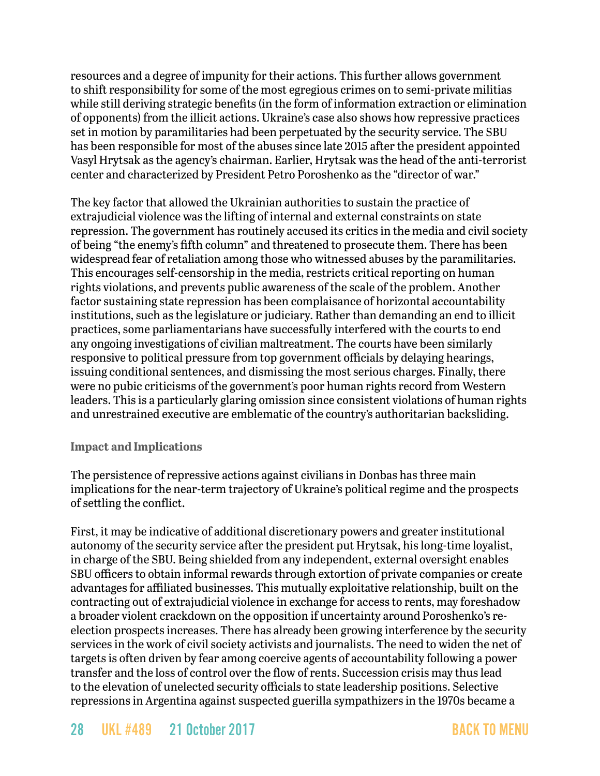resources and a degree of impunity for their actions. This further allows government to shift responsibility for some of the most egregious crimes on to semi-private militias while still deriving strategic benefits (in the form of information extraction or elimination of opponents) from the illicit actions. Ukraine's case also shows how repressive practices set in motion by paramilitaries had been perpetuated by the security service. The SBU has been responsible for most of the abuses since late 2015 after the president appointed Vasyl Hrytsak as the agency's chairman. Earlier, Hrytsak was the head of the anti-terrorist center and [characterized](http://www.liga.net/projects/gricak_interview/) by President Petro Poroshenko as the "director of war."

The key factor that allowed the Ukrainian authorities to sustain the practice of extrajudicial violence was the lifting of internal and external constraints on state repression. The government has routinely accused its critics in the media and civil society of being "the enemy's fifth column" and threatened to prosecute them. There has been widespread fear of retaliation among those who witnessed abuses by the paramilitaries. This encourages self-censorship in the media, restricts critical reporting on human rights violations, and prevents public awareness of the scale of the problem. Another factor sustaining state repression has been complaisance of horizontal accountability institutions, such as the legislature or judiciary. Rather than demanding an end to illicit practices, some parliamentarians have successfully interfered with the courts to end any ongoing investigations of civilian maltreatment. The courts have been similarly responsive to political pressure from top government officials by delaying hearings, issuing conditional sentences, and dismissing the most serious charges. Finally, there were no pubic criticisms of the government's poor human rights record from Western leaders. This is a particularly glaring omission since consistent violations of human rights and unrestrained executive are emblematic of the country's authoritarian backsliding.

#### **Impact and Implications**

The persistence of repressive actions against civilians in Donbas has three main implications for the near-term trajectory of Ukraine's political regime and the prospects of settling the conflict.

First, it may be indicative of additional discretionary powers and greater institutional autonomy of the security service after the president put Hrytsak, his long-time loyalist, in charge of the SBU. Being shielded from any independent, external oversight enables SBU officers to obtain informal rewards through [extortion](http://nv.ua/project/cluzhba-bespredela.html) of private companies or [create](https://www.radiosvoboda.org/a/28322451.html)  [advantages](https://www.radiosvoboda.org/a/28322451.html) for affiliated businesses. This mutually exploitative relationship, built on the contracting out of extrajudicial violence in exchange for access to rents, may foreshadow a broader violent crackdown on the opposition if uncertainty around Poroshenko's reelection prospects increases. There has already been growing [interference](http://www.pravda.com.ua/articles/2016/10/28/7125100/) by the security services in the work of civil society activists and journalists. The need to widen the net of targets is often driven by fear among coercive agents of accountability following a power transfer and the loss of control over the flow of rents. Succession crisis may thus lead to the elevation of unelected security officials to state leadership positions. Selective repressions in Argentina against suspected guerilla sympathizers in the 1970s became a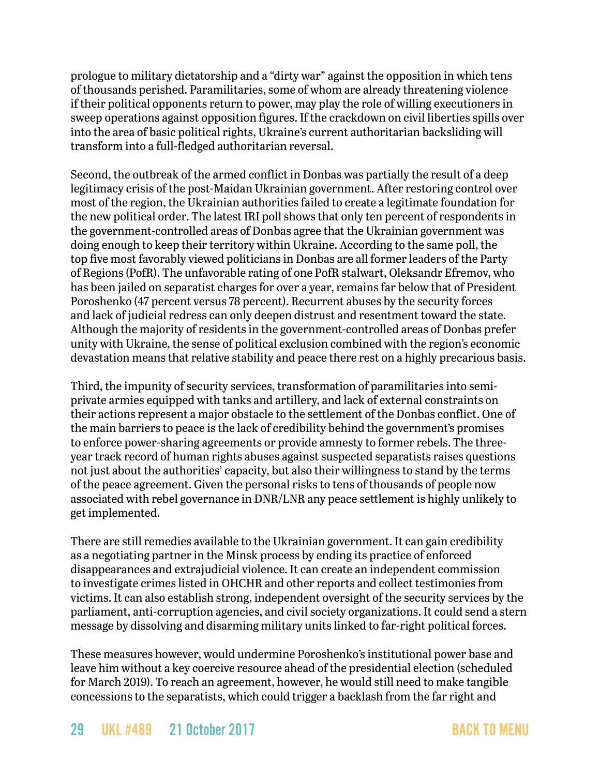prologue to military dictatorship and a "dirty war" against the opposition in which tens of thousands perished. Paramilitaries, some of whom are already threatening violence if their political opponents return to power, may play the role of willing executioners in sweep operations against opposition figures. If the crackdown on civil liberties spills over into the area of basic political rights, Ukraine's current authoritarian backsliding will transform into a full-fledged authoritarian reversal.

Second, the outbreak of the armed conflict in Donbas was partially the result of a deep legitimacy crisis of the post-Maidan Ukrainian government. After restoring control over most of the region, the Ukrainian authorities failed to create a legitimate foundation for the new political order. The latest [IRI poll](http://www.iri.org/sites/default/files/2017-may-survey-of-residents-of-ukraine_en.pdf) shows that only ten percent of respondents in the government-controlled areas of Donbas agree that the Ukrainian government was doing enough to keep their territory within Ukraine. According to the same poll, the top five most favorably viewed politicians in Donbas are all former leaders of the Party of Regions (PofR). The unfavorable rating of one PofR stalwart, Oleksandr Efremov, who has been jailed on separatist charges for over a year, remains far below that of President Poroshenko (47 percent versus 78 percent). Recurrent abuses by the security forces and lack of judicial redress can only deepen distrust and resentment toward the state. Although the majority of residents in the government-controlled areas of Donbas prefer unity with Ukraine, the sense of political exclusion combined with the region's economic devastation means that relative stability and peace there rest on a highly precarious basis.

Third, the impunity of security services, transformation of paramilitaries into semiprivate armies equipped with tanks and artillery, and lack of external constraints on their actions represent a major obstacle to the settlement of the Donbas conflict. One of the main barriers to peace is the lack of credibility behind the government's promises to enforce power-sharing agreements or provide amnesty to former rebels. The threeyear track record of human rights abuses against suspected separatists raises questions not just about the authorities' capacity, but also their willingness to stand by the terms of the peace agreement. Given the personal risks to tens of thousands of people now associated with rebel governance in DNR/LNR any peace settlement is highly unlikely to get implemented.

There are still remedies available to the Ukrainian government. It can gain credibility as a negotiating partner in the Minsk process by ending its practice of enforced disappearances and extrajudicial violence. It can create an independent commission to investigate crimes listed in OHCHR and other reports and collect testimonies from victims. It can also establish strong, independent oversight of the security services by the parliament, anti-corruption agencies, and civil society organizations. It could send a stern message by dissolving and disarming [military units](http://azov.org.ua/) linked to far-right [political forces.](http://nationalcorps.org/)

These measures however, would undermine Poroshenko's institutional power base and leave him without a key coercive resource ahead of the presidential election (scheduled for March 2019). To reach an agreement, however, he would still need to make tangible concessions to the separatists, which could trigger a backlash from the far right and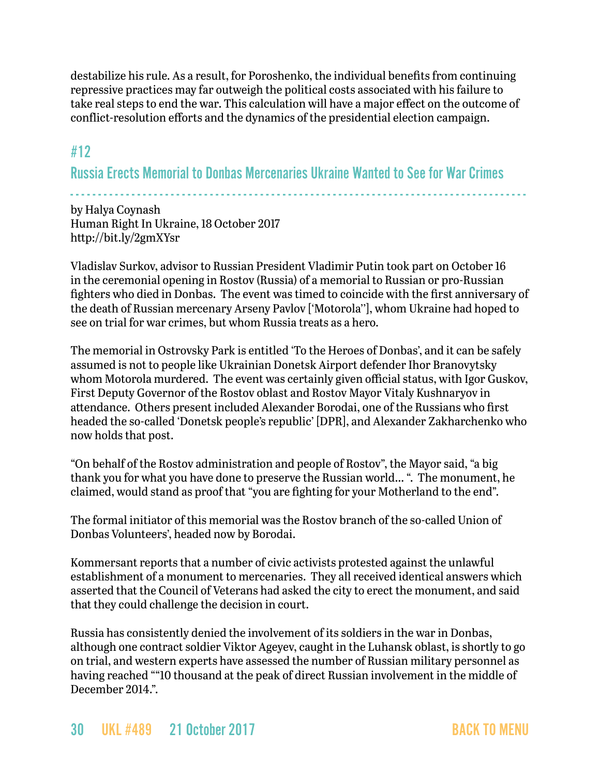destabilize his rule. As a result, for Poroshenko, the individual benefits from continuing repressive practices may far outweigh the political costs associated with his failure to take real steps to end the war. This calculation will have a major effect on the outcome of conflict-resolution efforts and the dynamics of the presidential election campaign.

## <span id="page-29-0"></span>#12

Russia Erects Memorial to Donbas Mercenaries Ukraine Wanted to See for War Crimes

- - - - - - - - - - - - - - - - - - - - - - - - - - - - - - - - - - - - - - - - - - - - - - - - - - - - - - - - - - - - - - - - - - - - - - - - - - - - - - - - - by Halya Coynash Human Right In Ukraine, 18 October 2017 <http://bit.ly/2gmXYsr>

Vladislav Surkov, advisor to Russian President Vladimir Putin took part on October 16 in the ceremonial opening in Rostov (Russia) of a memorial to Russian or pro-Russian fighters who died in Donbas. The event was timed to coincide with the first anniversary of the death of Russian mercenary Arseny Pavlov ['Motorola''], whom Ukraine had hoped to see on trial for war crimes, but whom Russia treats as a hero.

The memorial in Ostrovsky Park is entitled 'To the Heroes of Donbas', and it can be safely assumed is not to people like Ukrainian Donetsk Airport defender Ihor Branovytsky whom Motorola murdered. The event was certainly given official status, with Igor Guskov, First Deputy Governor of the Rostov oblast and Rostov Mayor Vitaly Kushnaryov in attendance. Others present included Alexander Borodai, one of the Russians who first headed the so-called 'Donetsk people's republic' [DPR], and Alexander Zakharchenko who now holds that post.

"On behalf of the Rostov administration and people of Rostov", the Mayor said, "a big thank you for what you have done to preserve the Russian world… ". The monument, he claimed, would stand as proof that "you are fighting for your Motherland to the end".

The formal initiator of this memorial was the Rostov branch of the so-called Union of Donbas Volunteers', headed now by Borodai.

Kommersant reports that a number of civic activists protested against the unlawful establishment of a monument to mercenaries. They all received identical answers which asserted that the Council of Veterans had asked the city to erect the monument, and said that they could challenge the decision in court.

Russia has consistently denied the involvement of its soldiers in the war in Donbas, although one contract soldier Viktor Ageyev, caught in the Luhansk oblast, is shortly to go on trial, and western experts have assessed the number of Russian military personnel as having reached ""10 thousand at the peak of direct Russian involvement in the middle of December 2014.".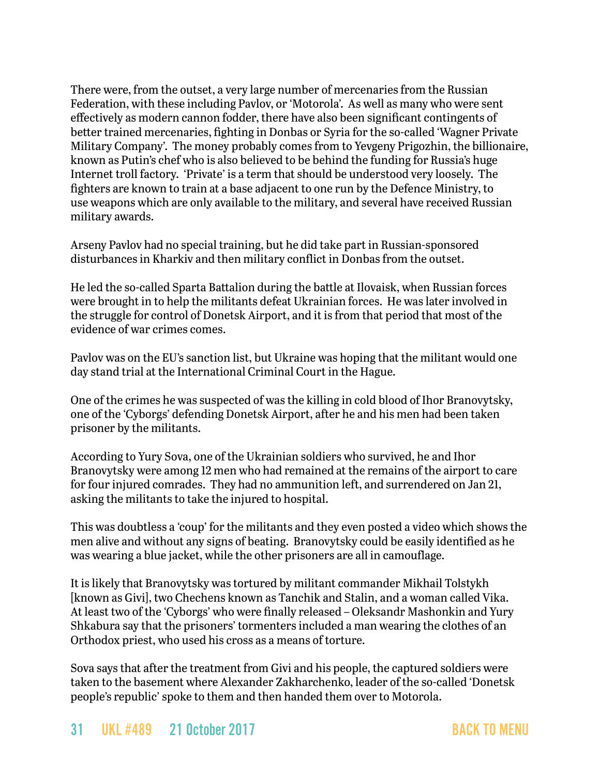There were, from the outset, a very large number of mercenaries from the Russian Federation, with these including Pavlov, or 'Motorola'. As well as many who were sent effectively as modern cannon fodder, there have also been significant contingents of better trained mercenaries, fighting in Donbas or Syria for the so-called 'Wagner Private Military Company'. The money probably comes from to Yevgeny Prigozhin, the billionaire, known as Putin's chef who is also believed to be behind the funding for Russia's huge Internet troll factory. 'Private' is a term that should be understood very loosely. The fighters are known to train at a base adjacent to one run by the Defence Ministry, to use weapons which are only available to the military, and several have received Russian military awards.

Arseny Pavlov had no special training, but he did take part in Russian-sponsored disturbances in Kharkiv and then military conflict in Donbas from the outset.

He led the so-called Sparta Battalion during the battle at Ilovaisk, when Russian forces were brought in to help the militants defeat Ukrainian forces. He was later involved in the struggle for control of Donetsk Airport, and it is from that period that most of the evidence of war crimes comes.

Pavlov was on the EU's sanction list, but Ukraine was hoping that the militant would one day stand trial at the International Criminal Court in the Hague.

One of the crimes he was suspected of was the killing in cold blood of Ihor Branovytsky, one of the 'Cyborgs' defending Donetsk Airport, after he and his men had been taken prisoner by the militants.

According to Yury Sova, one of the Ukrainian soldiers who survived, he and Ihor Branovytsky were among 12 men who had remained at the remains of the airport to care for four injured comrades. They had no ammunition left, and surrendered on Jan 21, asking the militants to take the injured to hospital.

This was doubtless a 'coup' for the militants and they even posted a video which shows the men alive and without any signs of beating. Branovytsky could be easily identified as he was wearing a blue jacket, while the other prisoners are all in camouflage.

It is likely that Branovytsky was tortured by militant commander Mikhail Tolstykh [known as Givi], two Chechens known as Tanchik and Stalin, and a woman called Vika. At least two of the 'Cyborgs' who were finally released – Oleksandr Mashonkin and Yury Shkabura say that the prisoners' tormenters included a man wearing the clothes of an Orthodox priest, who used his cross as a means of torture.

Sova says that after the treatment from Givi and his people, the captured soldiers were taken to the basement where Alexander Zakharchenko, leader of the so-called 'Donetsk people's republic' spoke to them and then handed them over to Motorola.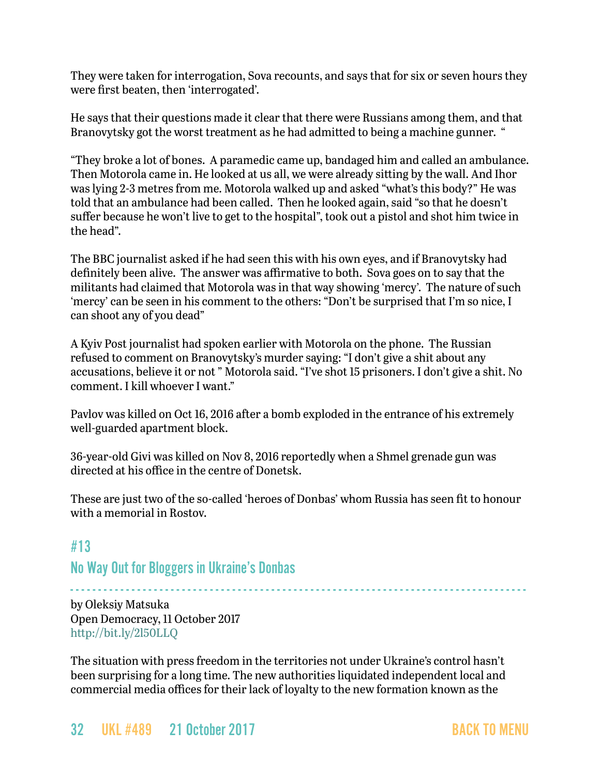They were taken for interrogation, Sova recounts, and says that for six or seven hours they were first beaten, then 'interrogated'.

He says that their questions made it clear that there were Russians among them, and that Branovytsky got the worst treatment as he had admitted to being a machine gunner. "

"They broke a lot of bones. A paramedic came up, bandaged him and called an ambulance. Then Motorola came in. He looked at us all, we were already sitting by the wall. And Ihor was lying 2-3 metres from me. Motorola walked up and asked "what's this body?" He was told that an ambulance had been called. Then he looked again, said "so that he doesn't suffer because he won't live to get to the hospital", took out a pistol and shot him twice in the head".

The BBC journalist asked if he had seen this with his own eyes, and if Branovytsky had definitely been alive. The answer was affirmative to both. Sova goes on to say that the militants had claimed that Motorola was in that way showing 'mercy'. The nature of such 'mercy' can be seen in his comment to the others: "Don't be surprised that I'm so nice, I can shoot any of you dead"

A Kyiv Post journalist had spoken earlier with Motorola on the phone. The Russian refused to comment on Branovytsky's murder saying: "I don't give a shit about any accusations, believe it or not " Motorola said. "I've shot 15 prisoners. I don't give a shit. No comment. I kill whoever I want."

Pavlov was killed on Oct 16, 2016 after a bomb exploded in the entrance of his extremely well-guarded apartment block.

36-year-old Givi was killed on Nov 8, 2016 reportedly when a Shmel grenade gun was directed at his office in the centre of Donetsk.

These are just two of the so-called 'heroes of Donbas' whom Russia has seen fit to honour with a memorial in Rostov.

- - - - - - - - - - - - - - - - - - - - - - - - - - - - - - - - - - - - - - - - - - - - - - - - - - - - - - - - - - - - - - - - - - - - - - - - - - - - - - - - - -

# #13 No Way Out for Bloggers in Ukraine's Donbas

by Oleksiy Matsuka Open Democracy, 11 October 2017 <http://bit.ly/2l50LLQ>

The situation with press freedom in the territories not under Ukraine's control hasn't been surprising for a long time. The new authorities liquidated independent local and commercial media offices for their lack of loyalty to the new formation known as the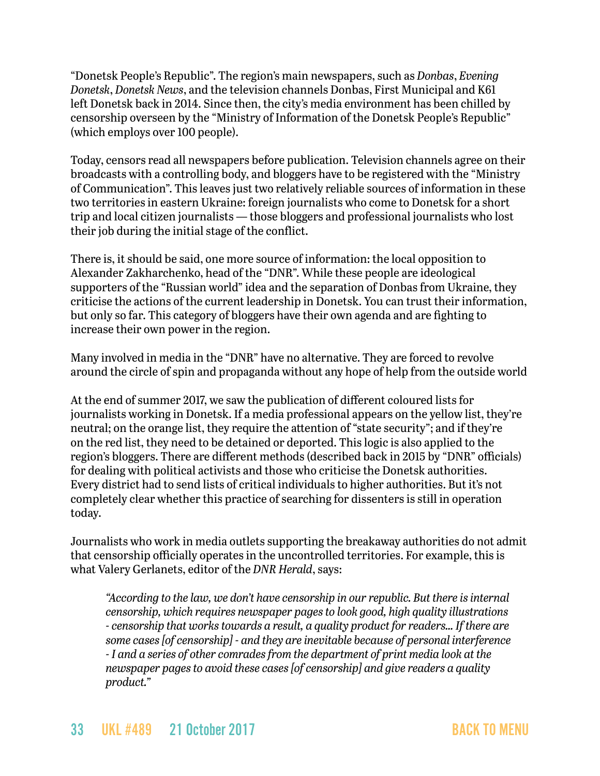"Donetsk People's Republic". The region's main newspapers, such as *Donbas*, *Evening Donetsk*, *Donetsk News*, and the television channels Donbas, First Municipal and K61 left Donetsk back in 2014. Since then, the city's media environment has been chilled by censorship overseen by the "Ministry of Information of the Donetsk People's Republic" (which employs over 100 people).

Today, censors read all newspapers before publication. Television channels agree on their broadcasts with a controlling body, and bloggers have to be registered with the "Ministry of Communication". This leaves just two relatively reliable sources of information in these two territories in eastern Ukraine: foreign journalists who come to Donetsk for a short trip and local citizen journalists — those bloggers and professional journalists who lost their job during the initial stage of the conflict.

There is, it should be said, one more source of information: the local opposition to Alexander Zakharchenko, head of the "DNR". While these people are ideological supporters of the "Russian world" idea and the separation of Donbas from Ukraine, they criticise the actions of the current leadership in Donetsk. You can trust their information, but only so far. This category of bloggers have their own agenda and are fighting to increase their own power in the region.

Many involved in media in the "DNR" have no alternative. They are forced to revolve around the circle of spin and propaganda without any hope of help from the outside world

At the end of summer 2017, we saw the publication of different coloured lists for journalists working in Donetsk. If a media professional appears on the yellow list, they're neutral; on the orange list, they require the attention of "state security"; and if they're on the red list, they need to be detained or deported. This logic is also applied to the region's bloggers. There are different methods (described back in 2015 by "DNR" officials) for dealing with political activists and those who criticise the Donetsk authorities. Every district had to send lists of critical individuals to higher authorities. But it's not completely clear whether this practice of searching for dissenters is still in operation today.

Journalists who work in media outlets supporting the breakaway authorities do not admit that censorship officially operates in the uncontrolled territories. For example, this is what Valery Gerlanets, editor of the *DNR Herald*, says:

*"According to the law, we don't have censorship in our republic. But there is internal censorship, which requires newspaper pages to look good, high quality illustrations - censorship that works towards a result, a quality product for readers… If there are some cases [of censorship] - and they are inevitable because of personal interference - I and a series of other comrades from the department of print media look at the newspaper pages to avoid these cases [of censorship] and give readers a quality product."*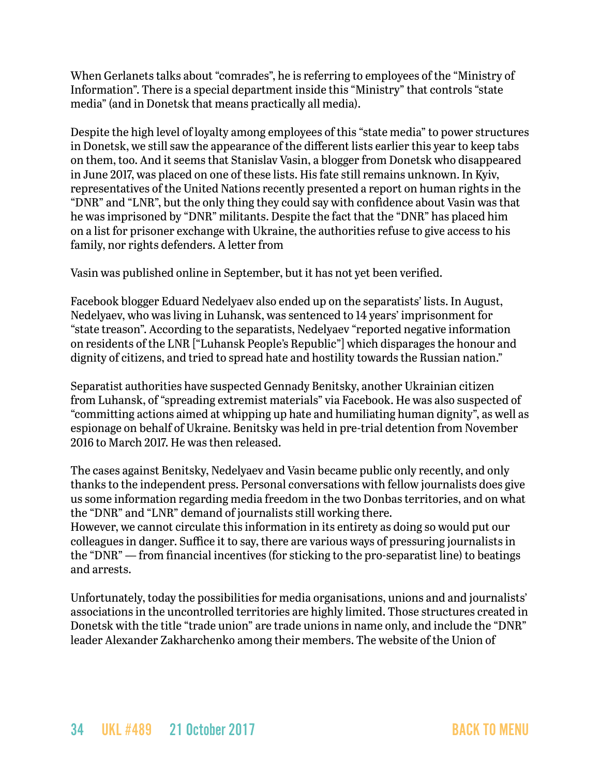When Gerlanets talks about "comrades", he is referring to employees of the "Ministry of Information". There is a special department inside this "Ministry" that controls "state media" (and in Donetsk that means practically all media).

Despite the high level of loyalty among employees of this "state media" to power structures in Donetsk, we still saw the appearance of the different lists earlier this year to keep tabs on them, too. And it seems that Stanislav Vasin, a blogger from Donetsk who disappeared in June 2017, was placed on one of these lists. His fate still remains unknown. In Kyiv, representatives of the United Nations recently presented a report on human rights in the "DNR" and "LNR", but the only thing they could say with confidence about Vasin was that he was imprisoned by "DNR" militants. Despite the fact that the "DNR" has placed him on a list for prisoner exchange with Ukraine, the authorities refuse to give access to his family, nor rights defenders. A letter from

Vasin was published online in September, but it has not yet been verified.

Facebook blogger Eduard Nedelyaev also ended up on the separatists' lists. In August, Nedelyaev, who was living in Luhansk, was sentenced to 14 years' imprisonment for "state treason". According to the separatists, Nedelyaev "reported negative information on residents of the LNR ["Luhansk People's Republic"] which disparages the honour and dignity of citizens, and tried to spread hate and hostility towards the Russian nation."

Separatist authorities have suspected Gennady Benitsky, another Ukrainian citizen from Luhansk, of "spreading extremist materials" via Facebook. He was also suspected of "committing actions aimed at whipping up hate and humiliating human dignity", as well as espionage on behalf of Ukraine. Benitsky was held in pre-trial detention from November 2016 to March 2017. He was then released.

The cases against Benitsky, Nedelyaev and Vasin became public only recently, and only thanks to the independent press. Personal conversations with fellow journalists does give us some information regarding media freedom in the two Donbas territories, and on what the "DNR" and "LNR" demand of journalists still working there.

However, we cannot circulate this information in its entirety as doing so would put our colleagues in danger. Suffice it to say, there are various ways of pressuring journalists in the "DNR" — from financial incentives (for sticking to the pro-separatist line) to beatings and arrests.

Unfortunately, today the possibilities for media organisations, unions and and journalists' associations in the uncontrolled territories are highly limited. Those structures created in Donetsk with the title "trade union" are trade unions in name only, and include the "DNR" leader Alexander Zakharchenko among their members. The website of the Union of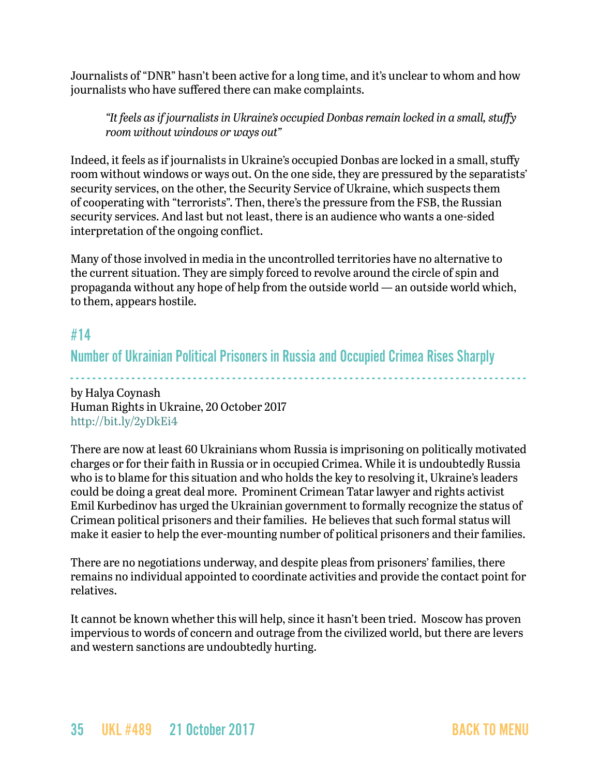Journalists of "DNR" hasn't been active for a long time, and it's unclear to whom and how journalists who have suffered there can make complaints.

*"It feels as if journalists in Ukraine's occupied Donbas remain locked in a small, stuffy room without windows or ways out"*

Indeed, it feels as if journalists in Ukraine's occupied Donbas are locked in a small, stuffy room without windows or ways out. On the one side, they are pressured by the separatists' security services, on the other, the Security Service of Ukraine, which suspects them of cooperating with "terrorists". Then, there's the pressure from the FSB, the Russian security services. And last but not least, there is an audience who wants a one-sided interpretation of the ongoing conflict.

Many of those involved in media in the uncontrolled territories have no alternative to the current situation. They are simply forced to revolve around the circle of spin and propaganda without any hope of help from the outside world — an outside world which, to them, appears hostile.

### <span id="page-34-0"></span>#14

Number of Ukrainian Political Prisoners in Russia and Occupied Crimea Rises Sharply

- - - - - - - - - - - - - - - - - - - - - - - - - - - - - - - - - - - - - - - - - - - - - - - - - - - - - - - - - - - - - - - - - - - - - - - - - - - - - - - - - by Halya Coynash Human Rights in Ukraine, 20 October 2017 <http://bit.ly/2yDkEi4>

There are now at least 60 Ukrainians whom Russia is imprisoning on politically motivated charges or for their faith in Russia or in occupied Crimea. While it is undoubtedly Russia who is to blame for this situation and who holds the key to resolving it, Ukraine's leaders could be doing a great deal more. Prominent Crimean Tatar lawyer and rights activist Emil Kurbedinov has urged the Ukrainian government to formally recognize the status of Crimean political prisoners and their families. He believes that such formal status will make it easier to help the ever-mounting number of political prisoners and their families.

There are no negotiations underway, and despite pleas from prisoners' families, there remains no individual appointed to coordinate activities and provide the contact point for relatives.

It cannot be known whether this will help, since it hasn't been tried. Moscow has proven impervious to words of concern and outrage from the civilized world, but there are levers and western sanctions are undoubtedly hurting.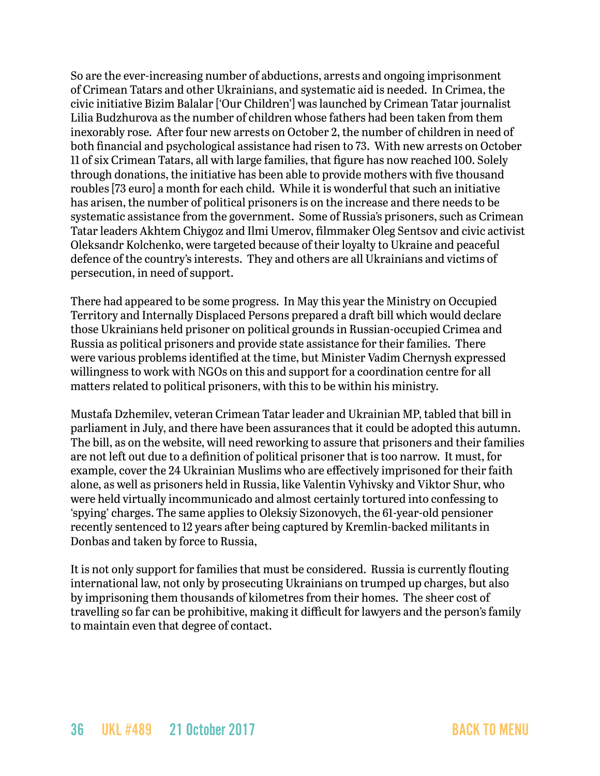So are the ever-increasing number of abductions, arrests and ongoing imprisonment of Crimean Tatars and other Ukrainians, and systematic aid is needed. In Crimea, the civic initiative Bizim Balalar ['Our Children'] was launched by Crimean Tatar journalist Lilia Budzhurova as the number of children whose fathers had been taken from them inexorably rose. After four new arrests on October 2, the number of children in need of both financial and psychological assistance had risen to 73. With new arrests on October 11 of six Crimean Tatars, all with large families, that figure has now reached 100. Solely through donations, the initiative has been able to provide mothers with five thousand roubles [73 euro] a month for each child. While it is wonderful that such an initiative has arisen, the number of political prisoners is on the increase and there needs to be systematic assistance from the government. Some of Russia's prisoners, such as Crimean Tatar leaders Akhtem Chiygoz and Ilmi Umerov, filmmaker Oleg Sentsov and civic activist Oleksandr Kolchenko, were targeted because of their loyalty to Ukraine and peaceful defence of the country's interests. They and others are all Ukrainians and victims of persecution, in need of support.

There had appeared to be some progress. In May this year the Ministry on Occupied Territory and Internally Displaced Persons prepared a draft bill which would declare those Ukrainians held prisoner on political grounds in Russian-occupied Crimea and Russia as political prisoners and provide state assistance for their families. There were various problems identified at the time, but Minister Vadim Chernysh expressed willingness to work with NGOs on this and support for a coordination centre for all matters related to political prisoners, with this to be within his ministry.

Mustafa Dzhemilev, veteran Crimean Tatar leader and Ukrainian MP, tabled that bill in parliament in July, and there have been assurances that it could be adopted this autumn. The bill, as on the website, will need reworking to assure that prisoners and their families are not left out due to a definition of political prisoner that is too narrow. It must, for example, cover the 24 Ukrainian Muslims who are effectively imprisoned for their faith alone, as well as prisoners held in Russia, like Valentin Vyhivsky and Viktor Shur, who were held virtually incommunicado and almost certainly tortured into confessing to 'spying' charges. The same applies to Oleksiy Sizonovych, the 61-year-old pensioner recently sentenced to 12 years after being captured by Kremlin-backed militants in Donbas and taken by force to Russia,

It is not only support for families that must be considered. Russia is currently flouting international law, not only by prosecuting Ukrainians on trumped up charges, but also by imprisoning them thousands of kilometres from their homes. The sheer cost of travelling so far can be prohibitive, making it difficult for lawyers and the person's family to maintain even that degree of contact.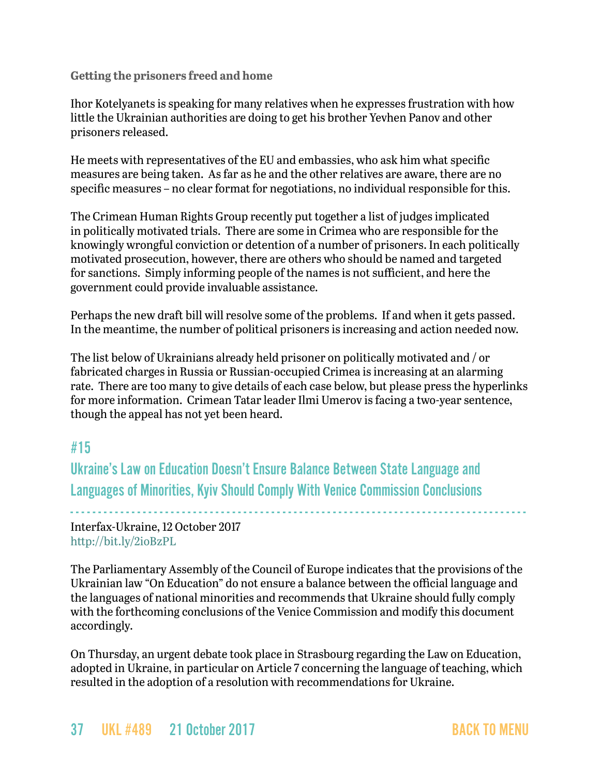**Getting the prisoners freed and home**

Ihor Kotelyanets is speaking for many relatives when he expresses frustration with how little the Ukrainian authorities are doing to get his brother Yevhen Panov and other prisoners released.

He meets with representatives of the EU and embassies, who ask him what specific measures are being taken. As far as he and the other relatives are aware, there are no specific measures – no clear format for negotiations, no individual responsible for this.

The Crimean Human Rights Group recently put together a list of judges implicated in politically motivated trials. There are some in Crimea who are responsible for the knowingly wrongful conviction or detention of a number of prisoners. In each politically motivated prosecution, however, there are others who should be named and targeted for sanctions. Simply informing people of the names is not sufficient, and here the government could provide invaluable assistance.

Perhaps the new draft bill will resolve some of the problems. If and when it gets passed. In the meantime, the number of political prisoners is increasing and action needed now.

The list below of Ukrainians already held prisoner on politically motivated and / or fabricated charges in Russia or Russian-occupied Crimea is increasing at an alarming rate. There are too many to give details of each case below, but please press the hyperlinks for more information. Crimean Tatar leader Ilmi Umerov is facing a two-year sentence, though the appeal has not yet been heard.

# #15

Ukraine's Law on Education Doesn't Ensure Balance Between State Language and Languages of Minorities, Kyiv Should Comply With Venice Commission Conclusions

- - - - - - - - - - - - - - - - - - - - - - - - - - - - - - - - - - - - - - - - - - - - - - - - - - - - - - - - - - - - - - - - - - - - - - - - - - - - - - - - - - Interfax-Ukraine, 12 October 2017 <http://bit.ly/2ioBzPL>

The Parliamentary Assembly of the Council of Europe indicates that the provisions of the Ukrainian law "On Education" do not ensure a balance between the official language and the languages of national minorities and recommends that Ukraine should fully comply with the forthcoming conclusions of the Venice Commission and modify this document accordingly.

On Thursday, an urgent debate took place in Strasbourg regarding the Law on Education, adopted in Ukraine, in particular on Article 7 concerning the language of teaching, which resulted in the adoption of a resolution with recommendations for Ukraine.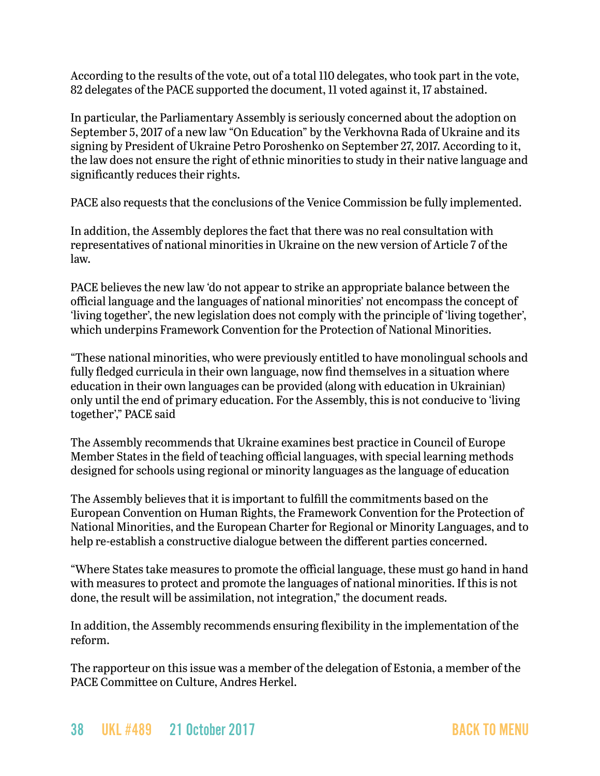According to the results of the vote, out of a total 110 delegates, who took part in the vote, 82 delegates of the PACE supported the document, 11 voted against it, 17 abstained.

In particular, the Parliamentary Assembly is seriously concerned about the adoption on September 5, 2017 of a new law "On Education" by the Verkhovna Rada of Ukraine and its signing by President of Ukraine Petro Poroshenko on September 27, 2017. According to it, the law does not ensure the right of ethnic minorities to study in their native language and significantly reduces their rights.

PACE also requests that the conclusions of the Venice Commission be fully implemented.

In addition, the Assembly deplores the fact that there was no real consultation with representatives of national minorities in Ukraine on the new version of Article 7 of the law.

PACE believes the new law 'do not appear to strike an appropriate balance between the official language and the languages of national minorities' not encompass the concept of 'living together', the new legislation does not comply with the principle of 'living together', which underpins Framework Convention for the Protection of National Minorities.

"These national minorities, who were previously entitled to have monolingual schools and fully fledged curricula in their own language, now find themselves in a situation where education in their own languages can be provided (along with education in Ukrainian) only until the end of primary education. For the Assembly, this is not conducive to 'living together'," PACE said

The Assembly recommends that Ukraine examines best practice in Council of Europe Member States in the field of teaching official languages, with special learning methods designed for schools using regional or minority languages as the language of education

The Assembly believes that it is important to fulfill the commitments based on the European Convention on Human Rights, the Framework Convention for the Protection of National Minorities, and the European Charter for Regional or Minority Languages, and to help re-establish a constructive dialogue between the different parties concerned.

"Where States take measures to promote the official language, these must go hand in hand with measures to protect and promote the languages of national minorities. If this is not done, the result will be assimilation, not integration," the document reads.

In addition, the Assembly recommends ensuring flexibility in the implementation of the reform.

The rapporteur on this issue was a member of the delegation of Estonia, a member of the PACE Committee on Culture, Andres Herkel.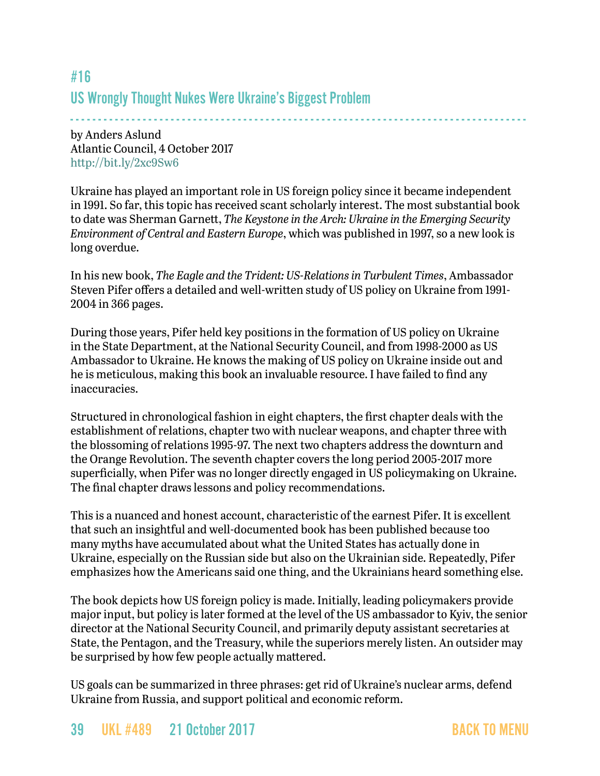# #16 US Wrongly Thought Nukes Were Ukraine's Biggest Problem

- - - - - - - - - - - - - - - - - - - - - - - - - - - - - - - - - - - - - - - - - - - - - - - - - - - - - - - - - - - - - - - - - - - - - - - - - - - - - - - - - by Anders Aslund Atlantic Council, 4 October 2017 <http://bit.ly/2xc9Sw6>

Ukraine has played an important role in US foreign policy since it became independent in 1991. So far, this topic has received scant scholarly interest. The most substantial book to date was Sherman Garnett, *The Keystone in the Arch: Ukraine in the Emerging Security Environment of Central and Eastern Europe*, which was published in 1997, so a new look is long overdue.

In his new book, *The Eagle and the Trident: US-Relations in Turbulent Times*, Ambassador Steven Pifer offers a detailed and well-written study of US policy on Ukraine from 1991- 2004 in 366 pages.

During those years, Pifer held key positions in the formation of US policy on Ukraine in the State Department, at the National Security Council, and from 1998-2000 as US Ambassador to Ukraine. He knows the making of US policy on Ukraine inside out and he is meticulous, making this book an invaluable resource. I have failed to find any inaccuracies.

Structured in chronological fashion in eight chapters, the first chapter deals with the establishment of relations, chapter two with nuclear weapons, and chapter three with the blossoming of relations 1995-97. The next two chapters address the downturn and the Orange Revolution. The seventh chapter covers the long period 2005-2017 more superficially, when Pifer was no longer directly engaged in US policymaking on Ukraine. The final chapter draws lessons and policy recommendations.

This is a nuanced and honest account, characteristic of the earnest Pifer. It is excellent that such an insightful and well-documented book has been published because too many myths have accumulated about what the United States has actually done in Ukraine, especially on the Russian side but also on the Ukrainian side. Repeatedly, Pifer emphasizes how the Americans said one thing, and the Ukrainians heard something else.

The book depicts how US foreign policy is made. Initially, leading policymakers provide major input, but policy is later formed at the level of the US ambassador to Kyiv, the senior director at the National Security Council, and primarily deputy assistant secretaries at State, the Pentagon, and the Treasury, while the superiors merely listen. An outsider may be surprised by how few people actually mattered.

US goals can be summarized in three phrases: get rid of Ukraine's nuclear arms, defend Ukraine from Russia, and support political and economic reform.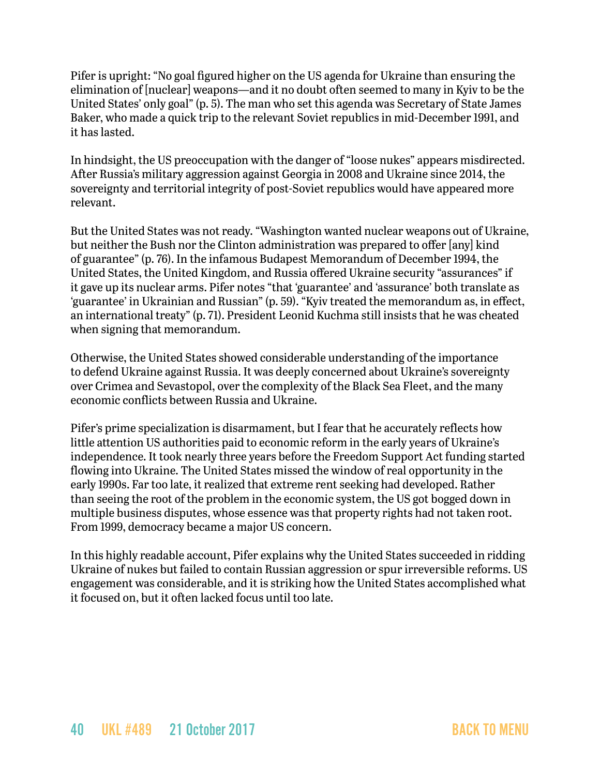Pifer is upright: "No goal figured higher on the US agenda for Ukraine than ensuring the elimination of [nuclear] weapons—and it no doubt often seemed to many in Kyiv to be the United States' only goal" (p. 5). The man who set this agenda was Secretary of State James Baker, who made a quick trip to the relevant Soviet republics in mid-December 1991, and it has lasted.

In hindsight, the US preoccupation with the danger of "loose nukes" appears misdirected. After Russia's military aggression against Georgia in 2008 and Ukraine since 2014, the sovereignty and territorial integrity of post-Soviet republics would have appeared more relevant.

But the United States was not ready. "Washington wanted nuclear weapons out of Ukraine, but neither the Bush nor the Clinton administration was prepared to offer [any] kind of guarantee" (p. 76). In the infamous Budapest Memorandum of December 1994, the United States, the United Kingdom, and Russia offered Ukraine security "assurances" if it gave up its nuclear arms. Pifer notes "that 'guarantee' and 'assurance' both translate as 'guarantee' in Ukrainian and Russian" (p. 59). "Kyiv treated the memorandum as, in effect, an international treaty" (p. 71). President Leonid Kuchma still insists that he was cheated when signing that memorandum.

Otherwise, the United States showed considerable understanding of the importance to defend Ukraine against Russia. It was deeply concerned about Ukraine's sovereignty over Crimea and Sevastopol, over the complexity of the Black Sea Fleet, and the many economic conflicts between Russia and Ukraine.

Pifer's prime specialization is disarmament, but I fear that he accurately reflects how little attention US authorities paid to economic reform in the early years of Ukraine's independence. It took nearly three years before the Freedom Support Act funding started flowing into Ukraine. The United States missed the window of real opportunity in the early 1990s. Far too late, it realized that extreme rent seeking had developed. Rather than seeing the root of the problem in the economic system, the US got bogged down in multiple business disputes, whose essence was that property rights had not taken root. From 1999, democracy became a major US concern.

In this highly readable account, Pifer explains why the United States succeeded in ridding Ukraine of nukes but failed to contain Russian aggression or spur irreversible reforms. US engagement was considerable, and it is striking how the United States accomplished what it focused on, but it often lacked focus until too late.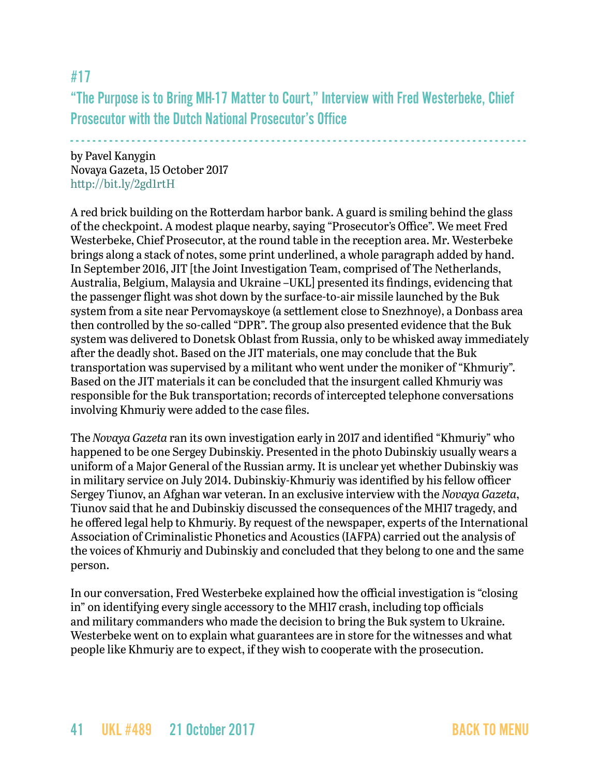#17

"The Purpose is to Bring MH-17 Matter to Court," Interview with Fred Westerbeke, Chief Prosecutor with the Dutch National Prosecutor's Office

- - - - - - - - - - - - - - - - - - - - - - - - - - - - - - - - - - - - - - - - - - - - - - - - - - - - - - - - - - - - - - - - - - - - - - - - - - - - - - - - - -

by Pavel Kanygin Novaya Gazeta, 15 October 2017 <http://bit.ly/2gd1rtH>

A red brick building on the Rotterdam harbor bank. A guard is smiling behind the glass of the checkpoint. A modest plaque nearby, saying "Prosecutor's Office". We meet Fred Westerbeke, Chief Prosecutor, at the round table in the reception area. Mr. Westerbeke brings along a stack of notes, some print underlined, a whole paragraph added by hand. In September 2016, JIT [the Joint Investigation Team, comprised of The Netherlands, Australia, Belgium, Malaysia and Ukraine –UKL] presented its findings, evidencing that the passenger flight was shot down by the surface-to-air missile launched by the Buk system from a site near Pervomayskoye (a settlement close to Snezhnoye), a Donbass area then controlled by the so-called "DPR". The group also presented evidence that the Buk system was delivered to Donetsk Oblast from Russia, only to be whisked away immediately after the deadly shot. Based on the JIT materials, one may conclude that the Buk transportation was supervised by a militant who went under the moniker of "Khmuriy". Based on the JIT materials it can be concluded that the insurgent called Khmuriy was responsible for the Buk transportation; records of intercepted telephone conversations involving Khmuriy were added to the case files.

The *Novaya Gazeta* ran its own investigation early in 2017 and identified "Khmuriy" who happened to be one Sergey Dubinskiy. Presented in the photo Dubinskiy usually wears a uniform of a Major General of the Russian army. It is unclear yet whether Dubinskiy was in military service on July 2014. Dubinskiy-Khmuriy was identified by his fellow officer Sergey Tiunov, an Afghan war veteran. In an exclusive interview with the *Novaya Gazeta*, Tiunov said that he and Dubinskiy discussed the consequences of the MH17 tragedy, and he offered legal help to Khmuriy. By request of the newspaper, experts of the International Association of Criminalistic Phonetics and Acoustics (IAFPA) carried out the analysis of the voices of Khmuriy and Dubinskiy and concluded that they belong to one and the same person.

In our conversation, Fred Westerbeke explained how the official investigation is "closing in" on identifying every single accessory to the MH17 crash, including top officials and military commanders who made the decision to bring the Buk system to Ukraine. Westerbeke went on to explain what guarantees are in store for the witnesses and what people like Khmuriy are to expect, if they wish to cooperate with the prosecution.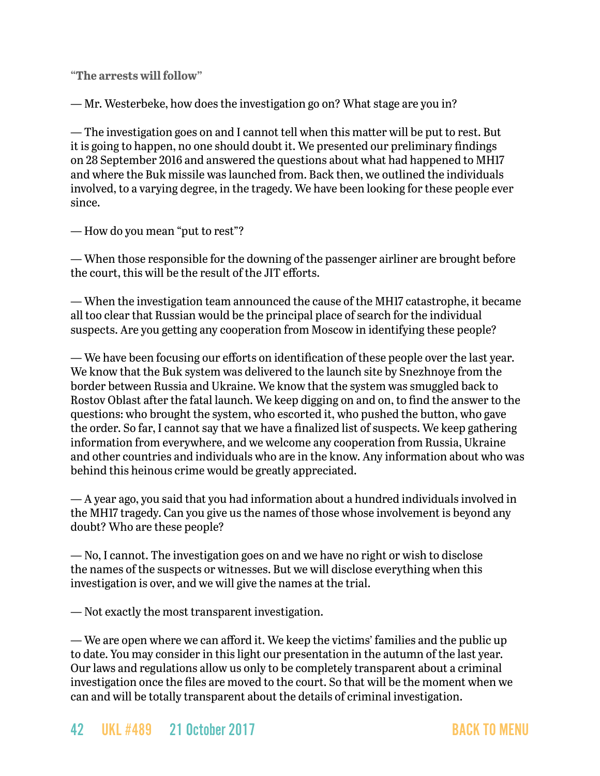**"The arrests will follow"**

— Mr. Westerbeke, how does the investigation go on? What stage are you in?

— The investigation goes on and I cannot tell when this matter will be put to rest. But it is going to happen, no one should doubt it. We presented our preliminary findings on 28 September 2016 and answered the questions about what had happened to MH17 and where the Buk missile was launched from. Back then, we outlined the individuals involved, to a varying degree, in the tragedy. We have been looking for these people ever since.

— How do you mean "put to rest"?

— When those responsible for the downing of the passenger airliner are brought before the court, this will be the result of the JIT efforts.

— When the investigation team announced the cause of the MH17 catastrophe, it became all too clear that Russian would be the principal place of search for the individual suspects. Are you getting any cooperation from Moscow in identifying these people?

— We have been focusing our efforts on identification of these people over the last year. We know that the Buk system was delivered to the launch site by Snezhnoye from the border between Russia and Ukraine. We know that the system was smuggled back to Rostov Oblast after the fatal launch. We keep digging on and on, to find the answer to the questions: who brought the system, who escorted it, who pushed the button, who gave the order. So far, I cannot say that we have a finalized list of suspects. We keep gathering information from everywhere, and we welcome any cooperation from Russia, Ukraine and other countries and individuals who are in the know. Any information about who was behind this heinous crime would be greatly appreciated.

— A year ago, you said that you had information about a hundred individuals involved in the MH17 tragedy. Can you give us the names of those whose involvement is beyond any doubt? Who are these people?

— No, I cannot. The investigation goes on and we have no right or wish to disclose the names of the suspects or witnesses. But we will disclose everything when this investigation is over, and we will give the names at the trial.

— Not exactly the most transparent investigation.

— We are open where we can afford it. We keep the victims' families and the public up to date. You may consider in this light our presentation in the autumn of the last year. Our laws and regulations allow us only to be completely transparent about a criminal investigation once the files are moved to the court. So that will be the moment when we can and will be totally transparent about the details of criminal investigation.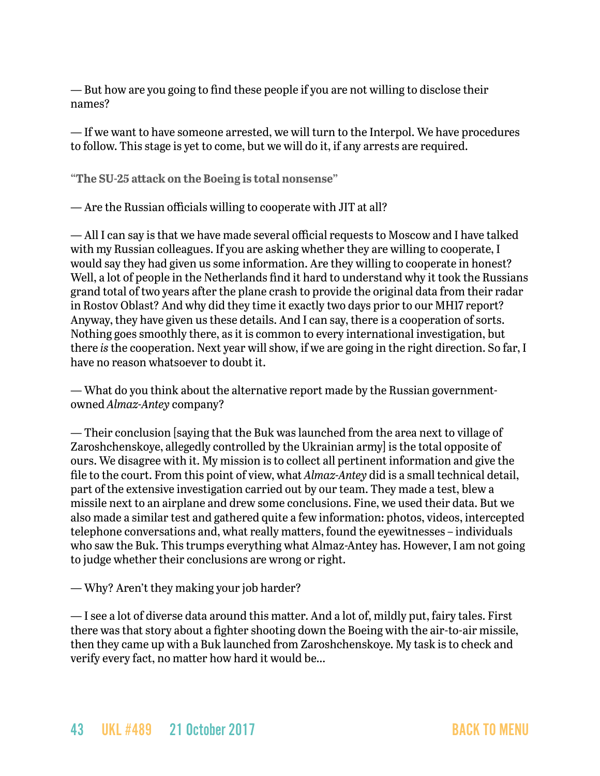— But how are you going to find these people if you are not willing to disclose their names?

— If we want to have someone arrested, we will turn to the Interpol. We have procedures to follow. This stage is yet to come, but we will do it, if any arrests are required.

**"The SU-25 attack on the Boeing is total nonsense"**

— Are the Russian officials willing to cooperate with JIT at all?

— All I can say is that we have made several official requests to Moscow and I have talked with my Russian colleagues. If you are asking whether they are willing to cooperate, I would say they had given us some information. Are they willing to cooperate in honest? Well, a lot of people in the Netherlands find it hard to understand why it took the Russians grand total of two years after the plane crash to provide the original data from their radar in Rostov Oblast? And why did they time it exactly two days prior to our MH17 report? Anyway, they have given us these details. And I can say, there is a cooperation of sorts. Nothing goes smoothly there, as it is common to every international investigation, but there *is* the cooperation. Next year will show, if we are going in the right direction. So far, I have no reason whatsoever to doubt it.

— What do you think about the alternative report made by the Russian governmentowned *Almaz-Antey* company?

— Their conclusion [saying that the Buk was launched from the area next to village of Zaroshchenskoye, allegedly controlled by the Ukrainian army] is the total opposite of ours. We disagree with it. My mission is to collect all pertinent information and give the file to the court. From this point of view, what *Almaz-Antey* did is a small technical detail, part of the extensive investigation carried out by our team. They made a test, blew a missile next to an airplane and drew some conclusions. Fine, we used their data. But we also made a similar test and gathered quite a few information: photos, videos, intercepted telephone conversations and, what really matters, found the eyewitnesses – individuals who saw the Buk. This trumps everything what Almaz-Antey has. However, I am not going to judge whether their conclusions are wrong or right.

— Why? Aren't they making your job harder?

— I see a lot of diverse data around this matter. And a lot of, mildly put, fairy tales. First there was that story about a fighter shooting down the Boeing with the air-to-air missile, then they came up with a Buk launched from Zaroshchenskoye. My task is to check and verify every fact, no matter how hard it would be…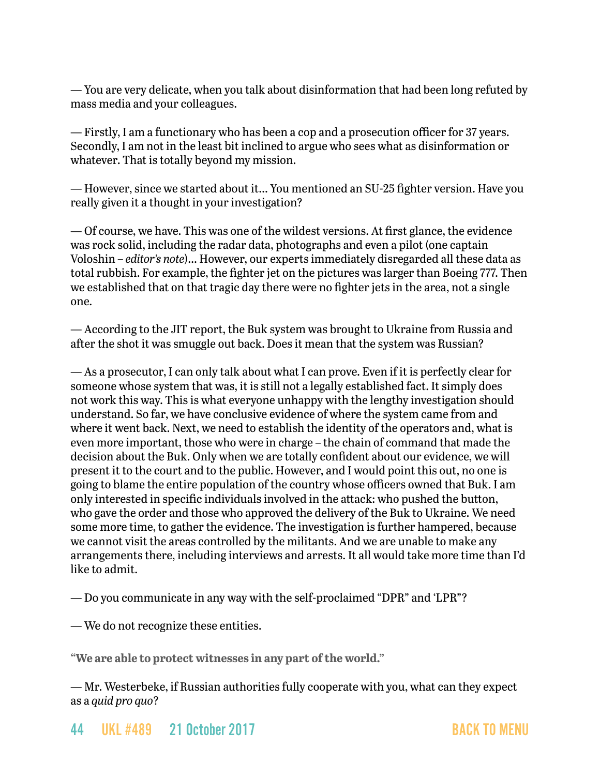— You are very delicate, when you talk about disinformation that had been long refuted by mass media and your colleagues.

— Firstly, I am a functionary who has been a cop and a prosecution officer for 37 years. Secondly, I am not in the least bit inclined to argue who sees what as disinformation or whatever. That is totally beyond my mission.

— However, since we started about it… You mentioned an SU-25 fighter version. Have you really given it a thought in your investigation?

— Of course, we have. This was one of the wildest versions. At first glance, the evidence was rock solid, including the radar data, photographs and even a pilot (one captain Voloshin – *editor's note*)… However, our experts immediately disregarded all these data as total rubbish. For example, the fighter jet on the pictures was larger than Boeing 777. Then we established that on that tragic day there were no fighter jets in the area, not a single one.

— According to the JIT report, the Buk system was brought to Ukraine from Russia and after the shot it was smuggle out back. Does it mean that the system was Russian?

— As a prosecutor, I can only talk about what I can prove. Even if it is perfectly clear for someone whose system that was, it is still not a legally established fact. It simply does not work this way. This is what everyone unhappy with the lengthy investigation should understand. So far, we have conclusive evidence of where the system came from and where it went back. Next, we need to establish the identity of the operators and, what is even more important, those who were in charge – the chain of command that made the decision about the Buk. Only when we are totally confident about our evidence, we will present it to the court and to the public. However, and I would point this out, no one is going to blame the entire population of the country whose officers owned that Buk. I am only interested in specific individuals involved in the attack: who pushed the button, who gave the order and those who approved the delivery of the Buk to Ukraine. We need some more time, to gather the evidence. The investigation is further hampered, because we cannot visit the areas controlled by the militants. And we are unable to make any arrangements there, including interviews and arrests. It all would take more time than I'd like to admit.

— Do you communicate in any way with the self-proclaimed "DPR" and 'LPR"?

— We do not recognize these entities.

**"We are able to protect witnesses in any part of the world."**

— Mr. Westerbeke, if Russian authorities fully cooperate with you, what can they expect as a *quid pro quo*?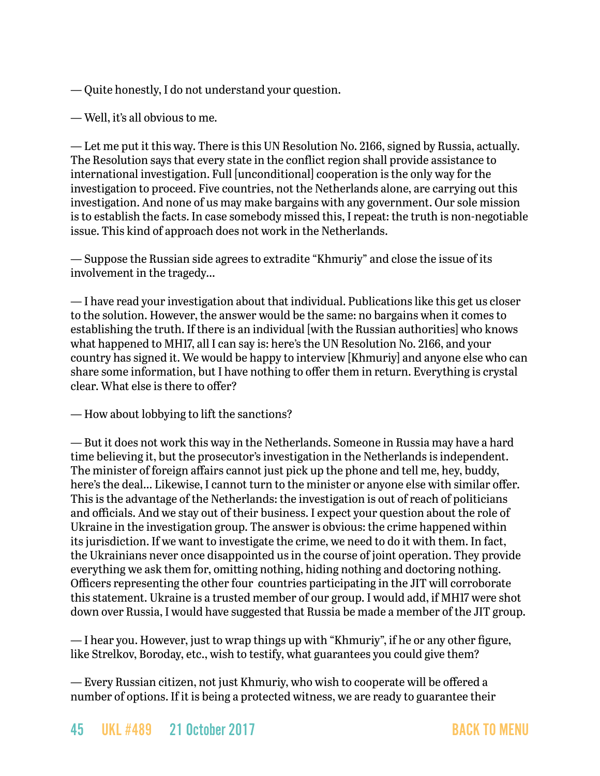— Quite honestly, I do not understand your question.

— Well, it's all obvious to me.

— Let me put it this way. There is this UN Resolution No. 2166, signed by Russia, actually. The Resolution says that every state in the conflict region shall provide assistance to international investigation. Full [unconditional] cooperation is the only way for the investigation to proceed. Five countries, not the Netherlands alone, are carrying out this investigation. And none of us may make bargains with any government. Our sole mission is to establish the facts. In case somebody missed this, I repeat: the truth is non-negotiable issue. This kind of approach does not work in the Netherlands.

— Suppose the Russian side agrees to extradite "Khmuriy" and close the issue of its involvement in the tragedy…

— I have read your investigation about that individual. Publications like this get us closer to the solution. However, the answer would be the same: no bargains when it comes to establishing the truth. If there is an individual [with the Russian authorities] who knows what happened to MH17, all I can say is: here's the UN Resolution No. 2166, and your country has signed it. We would be happy to interview [Khmuriy] and anyone else who can share some information, but I have nothing to offer them in return. Everything is crystal clear. What else is there to offer?

— How about lobbying to lift the sanctions?

— But it does not work this way in the Netherlands. Someone in Russia may have a hard time believing it, but the prosecutor's investigation in the Netherlands is independent. The minister of foreign affairs cannot just pick up the phone and tell me, hey, buddy, here's the deal… Likewise, I cannot turn to the minister or anyone else with similar offer. This is the advantage of the Netherlands: the investigation is out of reach of politicians and officials. And we stay out of their business. I expect your question about the role of Ukraine in the investigation group. The answer is obvious: the crime happened within its jurisdiction. If we want to investigate the crime, we need to do it with them. In fact, the Ukrainians never once disappointed us in the course of joint operation. They provide everything we ask them for, omitting nothing, hiding nothing and doctoring nothing. Officers representing the other four countries participating in the JIT will corroborate this statement. Ukraine is a trusted member of our group. I would add, if MH17 were shot down over Russia, I would have suggested that Russia be made a member of the JIT group.

— I hear you. However, just to wrap things up with "Khmuriy", if he or any other figure, like Strelkov, Boroday, etc., wish to testify, what guarantees you could give them?

— Every Russian citizen, not just Khmuriy, who wish to cooperate will be offered a number of options. If it is being a protected witness, we are ready to guarantee their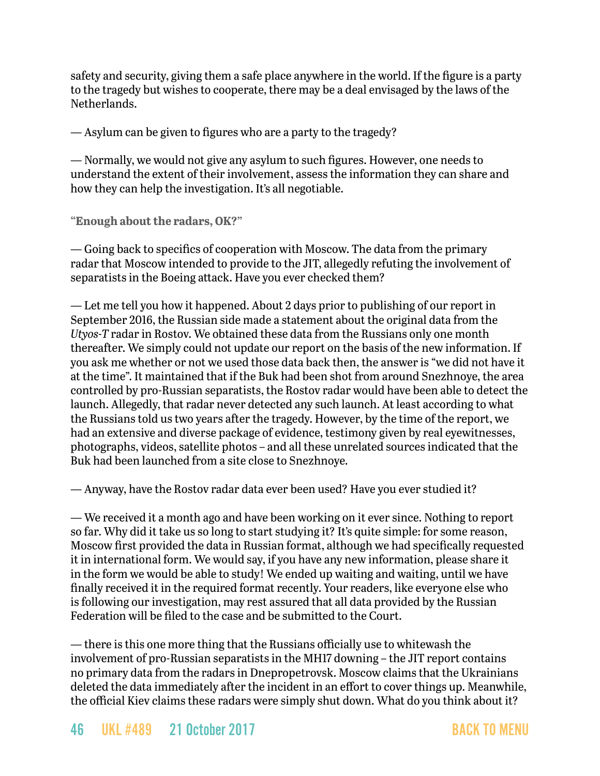safety and security, giving them a safe place anywhere in the world. If the figure is a party to the tragedy but wishes to cooperate, there may be a deal envisaged by the laws of the Netherlands.

— Asylum can be given to figures who are a party to the tragedy?

— Normally, we would not give any asylum to such figures. However, one needs to understand the extent of their involvement, assess the information they can share and how they can help the investigation. It's all negotiable.

**"Enough about the radars, OK?"**

— Going back to specifics of cooperation with Moscow. The data from the primary radar that Moscow intended to provide to the JIT, allegedly refuting the involvement of separatists in the Boeing attack. Have you ever checked them?

— Let me tell you how it happened. About 2 days prior to publishing of our report in September 2016, the Russian side made a statement about the original data from the *Utyos-T* radar in Rostov. We obtained these data from the Russians only one month thereafter. We simply could not update our report on the basis of the new information. If you ask me whether or not we used those data back then, the answer is "we did not have it at the time". It maintained that if the Buk had been shot from around Snezhnoye, the area controlled by pro-Russian separatists, the Rostov radar would have been able to detect the launch. Allegedly, that radar never detected any such launch. At least according to what the Russians told us two years after the tragedy. However, by the time of the report, we had an extensive and diverse package of evidence, testimony given by real eyewitnesses, photographs, videos, satellite photos – and all these unrelated sources indicated that the Buk had been launched from a site close to Snezhnoye.

— Anyway, have the Rostov radar data ever been used? Have you ever studied it?

— We received it a month ago and have been working on it ever since. Nothing to report so far. Why did it take us so long to start studying it? It's quite simple: for some reason, Moscow first provided the data in Russian format, although we had specifically requested it in international form. We would say, if you have any new information, please share it in the form we would be able to study! We ended up waiting and waiting, until we have finally received it in the required format recently. Your readers, like everyone else who is following our investigation, may rest assured that all data provided by the Russian Federation will be filed to the case and be submitted to the Court.

— there is this one more thing that the Russians officially use to whitewash the involvement of pro-Russian separatists in the MH17 downing – the JIT report contains no primary data from the radars in Dnepropetrovsk. Moscow claims that the Ukrainians deleted the data immediately after the incident in an effort to cover things up. Meanwhile, the official Kiev claims these radars were simply shut down. What do you think about it?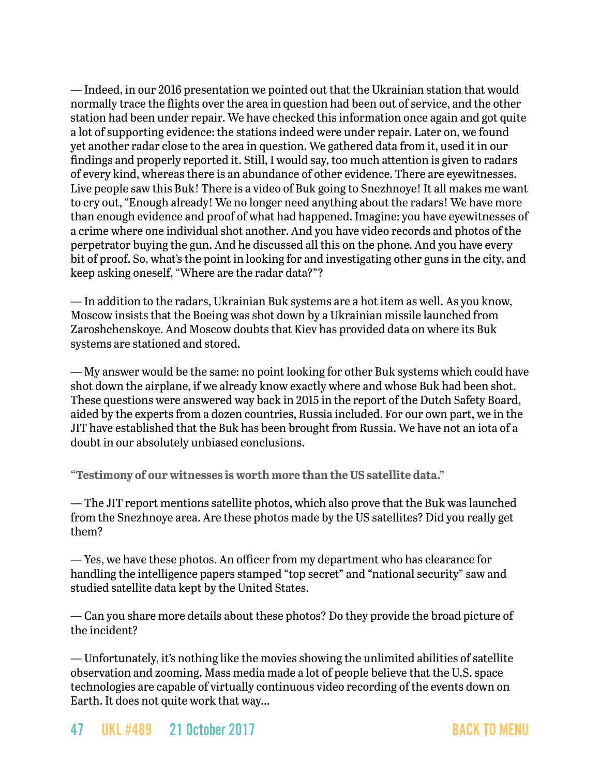— Indeed, in our 2016 presentation we pointed out that the Ukrainian station that would normally trace the flights over the area in question had been out of service, and the other station had been under repair. We have checked this information once again and got quite a lot of supporting evidence: the stations indeed were under repair. Later on, we found yet another radar close to the area in question. We gathered data from it, used it in our findings and properly reported it. Still, I would say, too much attention is given to radars of every kind, whereas there is an abundance of other evidence. There are eyewitnesses. Live people saw this Buk! There is a video of Buk going to Snezhnoye! It all makes me want to cry out, "Enough already! We no longer need anything about the radars! We have more than enough evidence and proof of what had happened. Imagine: you have eyewitnesses of a crime where one individual shot another. And you have video records and photos of the perpetrator buying the gun. And he discussed all this on the phone. And you have every bit of proof. So, what's the point in looking for and investigating other guns in the city, and keep asking oneself, "Where are the radar data?"?

— In addition to the radars, Ukrainian Buk systems are a hot item as well. As you know, Moscow insists that the Boeing was shot down by a Ukrainian missile launched from Zaroshchenskoye. And Moscow doubts that Kiev has provided data on where its Buk systems are stationed and stored.

— My answer would be the same: no point looking for other Buk systems which could have shot down the airplane, if we already know exactly where and whose Buk had been shot. These questions were answered way back in 2015 in the report of the Dutch Safety Board, aided by the experts from a dozen countries, Russia included. For our own part, we in the JIT have established that the Buk has been brought from Russia. We have not an iota of a doubt in our absolutely unbiased conclusions.

**"Testimony of our witnesses is worth more than the US satellite data."**

— The JIT report mentions satellite photos, which also prove that the Buk was launched from the Snezhnoye area. Are these photos made by the US satellites? Did you really get them?

— Yes, we have these photos. An officer from my department who has clearance for handling the intelligence papers stamped "top secret" and "national security" saw and studied satellite data kept by the United States.

— Can you share more details about these photos? Do they provide the broad picture of the incident?

— Unfortunately, it's nothing like the movies showing the unlimited abilities of satellite observation and zooming. Mass media made a lot of people believe that the U.S. space technologies are capable of virtually continuous video recording of the events down on Earth. It does not quite work that way…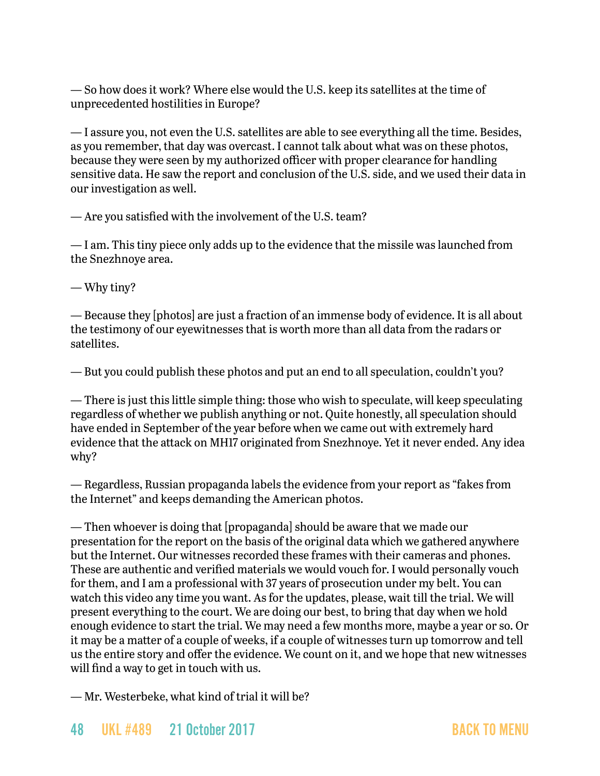— So how does it work? Where else would the U.S. keep its satellites at the time of unprecedented hostilities in Europe?

— I assure you, not even the U.S. satellites are able to see everything all the time. Besides, as you remember, that day was overcast. I cannot talk about what was on these photos, because they were seen by my authorized officer with proper clearance for handling sensitive data. He saw the report and conclusion of the U.S. side, and we used their data in our investigation as well.

— Are you satisfied with the involvement of the U.S. team?

— I am. This tiny piece only adds up to the evidence that the missile was launched from the Snezhnoye area.

— Why tiny?

— Because they [photos] are just a fraction of an immense body of evidence. It is all about the testimony of our eyewitnesses that is worth more than all data from the radars or satellites.

— But you could publish these photos and put an end to all speculation, couldn't you?

— There is just this little simple thing: those who wish to speculate, will keep speculating regardless of whether we publish anything or not. Quite honestly, all speculation should have ended in September of the year before when we came out with extremely hard evidence that the attack on MH17 originated from Snezhnoye. Yet it never ended. Any idea why?

— Regardless, Russian propaganda labels the evidence from your report as "fakes from the Internet" and keeps demanding the American photos.

— Then whoever is doing that [propaganda] should be aware that we made our presentation for the report on the basis of the original data which we gathered anywhere but the Internet. Our witnesses recorded these frames with their cameras and phones. These are authentic and verified materials we would vouch for. I would personally vouch for them, and I am a professional with 37 years of prosecution under my belt. You can watch this video any time you want. As for the updates, please, wait till the trial. We will present everything to the court. We are doing our best, to bring that day when we hold enough evidence to start the trial. We may need a few months more, maybe a year or so. Or it may be a matter of a couple of weeks, if a couple of witnesses turn up tomorrow and tell us the entire story and offer the evidence. We count on it, and we hope that new witnesses will find a way to get in touch with us.

— Mr. Westerbeke, what kind of trial it will be?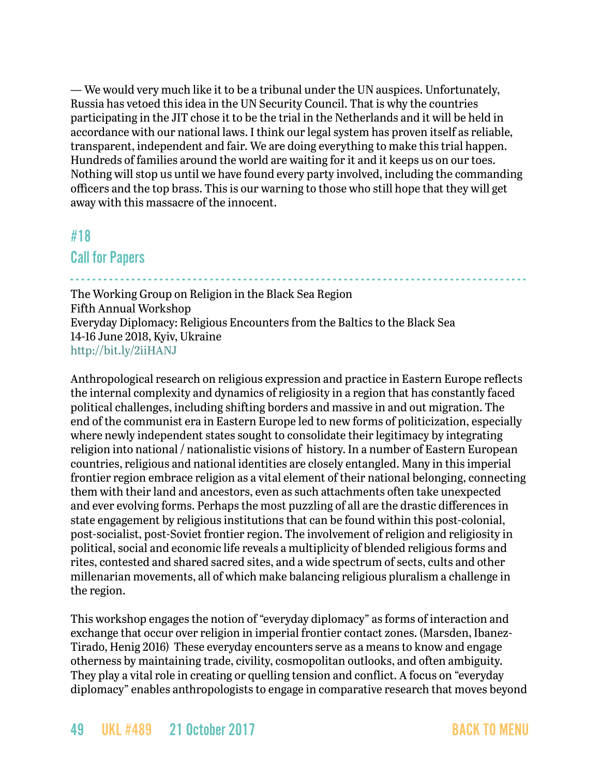— We would very much like it to be a tribunal under the UN auspices. Unfortunately, Russia has vetoed this idea in the UN Security Council. That is why the countries participating in the JIT chose it to be the trial in the Netherlands and it will be held in accordance with our national laws. I think our legal system has proven itself as reliable, transparent, independent and fair. We are doing everything to make this trial happen. Hundreds of families around the world are waiting for it and it keeps us on our toes. Nothing will stop us until we have found every party involved, including the commanding officers and the top brass. This is our warning to those who still hope that they will get away with this massacre of the innocent.

### <span id="page-48-0"></span>#18

### Call for Papers

- - - - - - - - - - - - - - - - - - - - - - - - - - - - - - - - - - - - - - - - - - - - - - - - - - - - - - - - - - - - - - - - - - - - - - - - - - - - - - - - - - The Working Group on Religion in the Black Sea Region Fifth Annual Workshop Everyday Diplomacy: Religious Encounters from the Baltics to the Black Sea 14-16 June 2018, Kyiv, Ukraine <http://bit.ly/2iiHANJ>

Anthropological research on religious expression and practice in Eastern Europe reflects the internal complexity and dynamics of religiosity in a region that has constantly faced political challenges, including shifting borders and massive in and out migration. The end of the communist era in Eastern Europe led to new forms of politicization, especially where newly independent states sought to consolidate their legitimacy by integrating religion into national / nationalistic visions of history. In a number of Eastern European countries, religious and national identities are closely entangled. Many in this imperial frontier region embrace religion as a vital element of their national belonging, connecting them with their land and ancestors, even as such attachments often take unexpected and ever evolving forms. Perhaps the most puzzling of all are the drastic differences in state engagement by religious institutions that can be found within this post-colonial, post-socialist, post-Soviet frontier region. The involvement of religion and religiosity in political, social and economic life reveals a multiplicity of blended religious forms and rites, contested and shared sacred sites, and a wide spectrum of sects, cults and other millenarian movements, all of which make balancing religious pluralism a challenge in the region.

This workshop engages the notion of "everyday diplomacy" as forms of interaction and exchange that occur over religion in imperial frontier contact zones. (Marsden, Ibanez-Tirado, Henig 2016) These everyday encounters serve as a means to know and engage otherness by maintaining trade, civility, cosmopolitan outlooks, and often ambiguity. They play a vital role in creating or quelling tension and conflict. A focus on "everyday diplomacy" enables anthropologists to engage in comparative research that moves beyond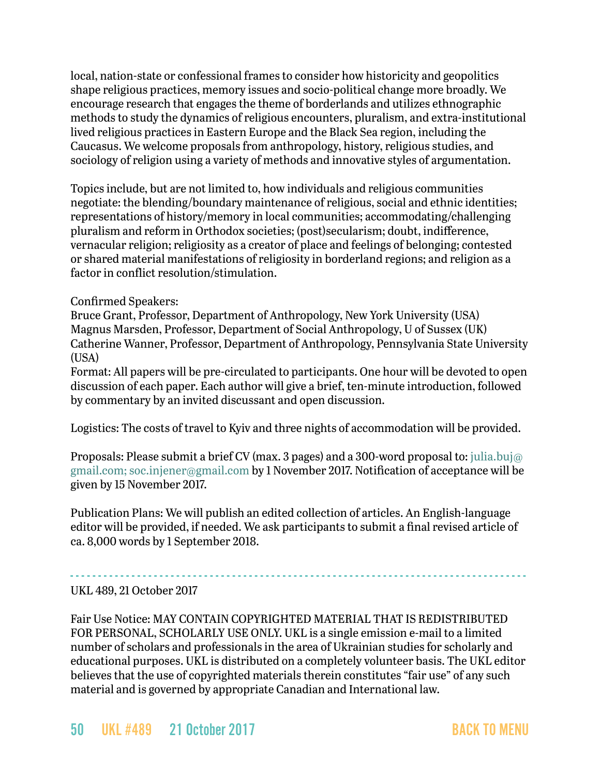local, nation-state or confessional frames to consider how historicity and geopolitics shape religious practices, memory issues and socio-political change more broadly. We encourage research that engages the theme of borderlands and utilizes ethnographic methods to study the dynamics of religious encounters, pluralism, and extra-institutional lived religious practices in Eastern Europe and the Black Sea region, including the Caucasus. We welcome proposals from anthropology, history, religious studies, and sociology of religion using a variety of methods and innovative styles of argumentation.

Topics include, but are not limited to, how individuals and religious communities negotiate: the blending/boundary maintenance of religious, social and ethnic identities; representations of history/memory in local communities; accommodating/challenging pluralism and reform in Orthodox societies; (post)secularism; doubt, indifference, vernacular religion; religiosity as a creator of place and feelings of belonging; contested or shared material manifestations of religiosity in borderland regions; and religion as a factor in conflict resolution/stimulation.

#### Confirmed Speakers:

Bruce Grant, Professor, Department of Anthropology, New York University (USA) Magnus Marsden, Professor, Department of Social Anthropology, U of Sussex (UK) Catherine Wanner, Professor, Department of Anthropology, Pennsylvania State University  $(IISA)$ 

Format: All papers will be pre-circulated to participants. One hour will be devoted to open discussion of each paper. Each author will give a brief, ten-minute introduction, followed by commentary by an invited discussant and open discussion.

Logistics: The costs of travel to Kyiv and three nights of accommodation will be provided.

Proposals: Please submit a brief CV (max. 3 pages) and a 300-word proposal to: [julia.buj@](mailto:julia.buj@gmail.com) [gmail.com;](mailto:julia.buj@gmail.com) soc.injener@gmail.com by 1 November 2017. Notification of acceptance will be given by 15 November 2017.

Publication Plans: We will publish an edited collection of articles. An English-language editor will be provided, if needed. We ask participants to submit a final revised article of ca. 8,000 words by 1 September 2018.

### - - - - - - - - - - - - - - - - - - - - - - - - - - - - - - - - - - - - - - - - - - - - - - - - - - - - - - - - - - - - - - - - - - - - - - - - - - - - - - - - - - UKL 489, 21 October 2017

Fair Use Notice: MAY CONTAIN COPYRIGHTED MATERIAL THAT IS REDISTRIBUTED FOR PERSONAL, SCHOLARLY USE ONLY. UKL is a single emission e-mail to a limited number of scholars and professionals in the area of Ukrainian studies for scholarly and educational purposes. UKL is distributed on a completely volunteer basis. The UKL editor believes that the use of copyrighted materials therein constitutes "fair use" of any such material and is governed by appropriate Canadian and International law.